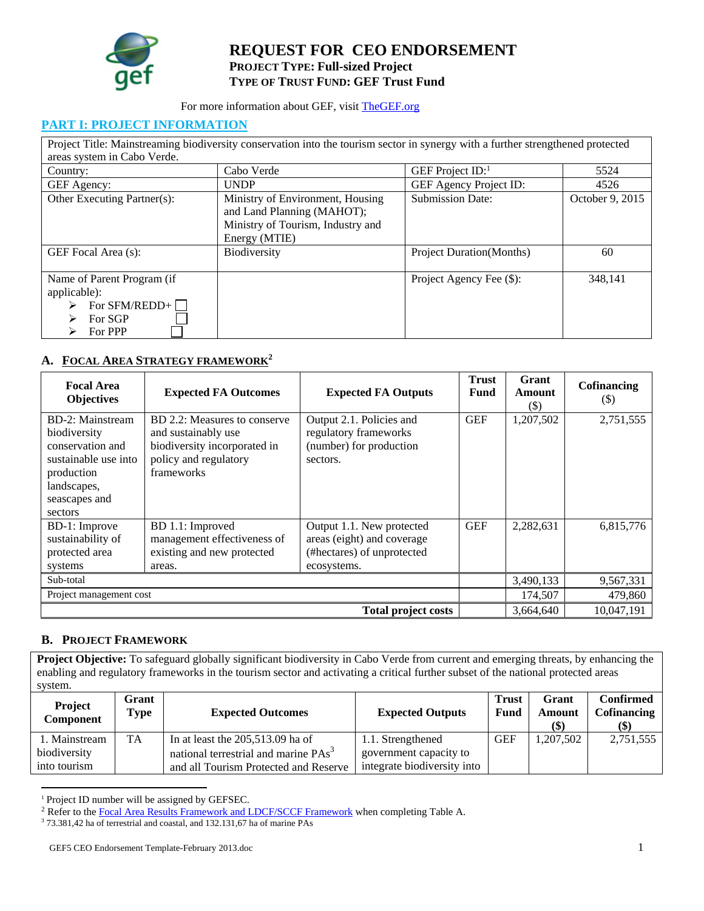

# **REQUEST FOR CEO ENDORSEMENT PROJECT TYPE: Full-sized Project TYPE OF TRUST FUND: GEF Trust Fund**

#### For more information about GEF, visit TheGEF.org

#### **PART I: PROJECT INFORMATION**

|                                                                                   | Project Title: Mainstreaming biodiversity conservation into the tourism sector in synergy with a further strengthened protected |                                  |                 |
|-----------------------------------------------------------------------------------|---------------------------------------------------------------------------------------------------------------------------------|----------------------------------|-----------------|
| areas system in Cabo Verde.                                                       |                                                                                                                                 |                                  |                 |
| Country:                                                                          | Cabo Verde                                                                                                                      | GEF Project $ID$ :               | 5524            |
| GEF Agency:                                                                       | <b>UNDP</b>                                                                                                                     | GEF Agency Project ID:           | 4526            |
| Other Executing Partner(s):                                                       | Ministry of Environment, Housing<br>and Land Planning (MAHOT);<br>Ministry of Tourism, Industry and<br>Energy (MTIE)            | <b>Submission Date:</b>          | October 9, 2015 |
| GEF Focal Area (s):                                                               | Biodiversity                                                                                                                    | <b>Project Duration</b> (Months) | 60              |
| Name of Parent Program (if<br>applicable):<br>For SFM/REDD+<br>For SGP<br>For PPP |                                                                                                                                 | Project Agency Fee (\$):         | 348.141         |

# **A. FOCAL AREA STRATEGY FRAMEWORK2**

| <b>Focal Area</b><br><b>Objectives</b>                                                                                                | <b>Expected FA Outcomes</b>                                                                                                | <b>Expected FA Outputs</b>                                                                           | <b>Trust</b><br><b>Fund</b> | Grant<br>Amount<br>(S) | Cofinancing<br>(\$) |  |
|---------------------------------------------------------------------------------------------------------------------------------------|----------------------------------------------------------------------------------------------------------------------------|------------------------------------------------------------------------------------------------------|-----------------------------|------------------------|---------------------|--|
| BD-2: Mainstream<br>biodiversity<br>conservation and<br>sustainable use into<br>production<br>landscapes,<br>seascapes and<br>sectors | BD 2.2: Measures to conserve<br>and sustainably use<br>biodiversity incorporated in<br>policy and regulatory<br>frameworks | Output 2.1. Policies and<br>regulatory frameworks<br>(number) for production<br>sectors.             | <b>GEF</b>                  | 1,207,502              | 2,751,555           |  |
| BD-1: Improve<br>sustainability of<br>protected area<br>systems                                                                       | BD 1.1: Improved<br>management effectiveness of<br>existing and new protected<br>areas.                                    | Output 1.1. New protected<br>areas (eight) and coverage<br>(#hectares) of unprotected<br>ecosystems. | <b>GEF</b>                  | 2,282,631              | 6,815,776           |  |
| Sub-total                                                                                                                             |                                                                                                                            |                                                                                                      |                             | 3,490,133              | 9,567,331           |  |
| Project management cost                                                                                                               |                                                                                                                            |                                                                                                      | 174,507                     | 479,860                |                     |  |
|                                                                                                                                       | 3,664,640<br>10.047.191<br><b>Total project costs</b>                                                                      |                                                                                                      |                             |                        |                     |  |

#### **B. PROJECT FRAMEWORK**

**Project Objective:** To safeguard globally significant biodiversity in Cabo Verde from current and emerging threats, by enhancing the enabling and regulatory frameworks in the tourism sector and activating a critical further subset of the national protected areas system.

| Project<br><b>Component</b> | Grant<br>Type | <b>Expected Outcomes</b>                         | <b>Expected Outputs</b>     | <b>Trust</b><br>Fund | Grant<br>Amount<br>$\left( \text{\$}\right)$ | <b>Confirmed</b><br><b>Cofinancing</b><br>$\left( \text{\$}\right)$ |
|-----------------------------|---------------|--------------------------------------------------|-----------------------------|----------------------|----------------------------------------------|---------------------------------------------------------------------|
| . Mainstream                | TA.           | In at least the $205,513.09$ ha of               | 1.1. Strengthened           | GEF                  | 1,207,502                                    | 2,751,555                                                           |
| biodiversity                |               | national terrestrial and marine PAs <sup>3</sup> | government capacity to      |                      |                                              |                                                                     |
| into tourism                |               | and all Tourism Protected and Reserve            | integrate biodiversity into |                      |                                              |                                                                     |

<sup>1</sup> Project ID number will be assigned by GEFSEC.

<sup>&</sup>lt;sup>2</sup> Refer to the **Focal Area Results Framework and LDCF/SCCF Framework** when completing Table A.  $\frac{3}{2}$  73.381.42 ha of terrestrial and coastal, and 132.131.67 ha of marina **PAs** 

<sup>&</sup>lt;sup>3</sup> 73.381,42 ha of terrestrial and coastal, and 132.131,67 ha of marine PAs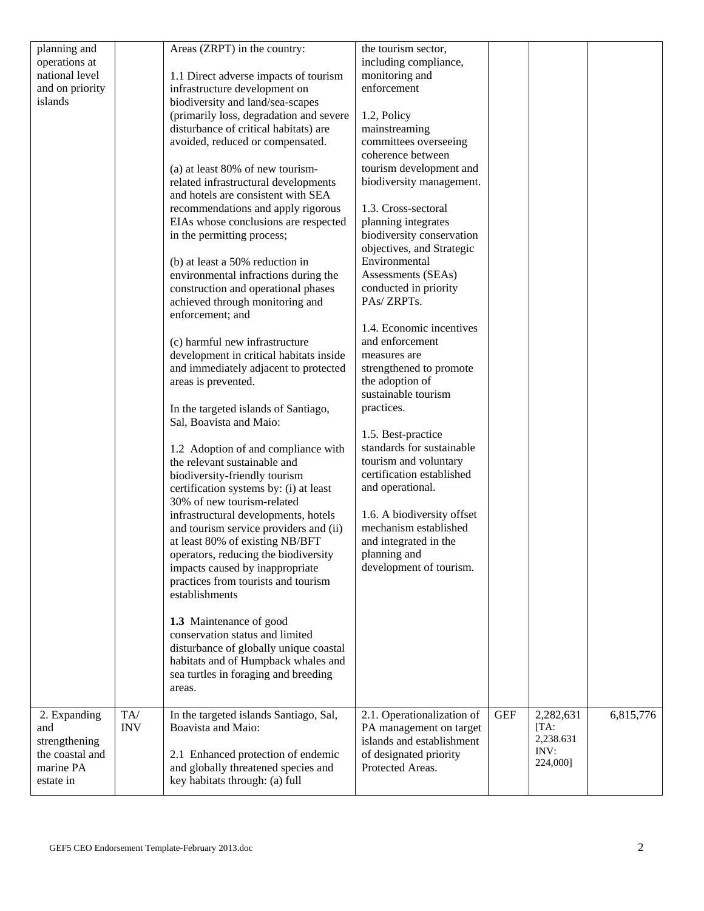| planning and<br>operations at<br>national level<br>and on priority<br>islands     |                   | Areas (ZRPT) in the country:<br>1.1 Direct adverse impacts of tourism<br>infrastructure development on<br>biodiversity and land/sea-scapes<br>(primarily loss, degradation and severe<br>disturbance of critical habitats) are<br>avoided, reduced or compensated.<br>(a) at least 80% of new tourism-<br>related infrastructural developments<br>and hotels are consistent with SEA<br>recommendations and apply rigorous<br>EIAs whose conclusions are respected<br>in the permitting process;<br>(b) at least a 50% reduction in<br>environmental infractions during the<br>construction and operational phases<br>achieved through monitoring and<br>enforcement; and<br>(c) harmful new infrastructure<br>development in critical habitats inside<br>and immediately adjacent to protected<br>areas is prevented. | the tourism sector,<br>including compliance,<br>monitoring and<br>enforcement<br>1.2, Policy<br>mainstreaming<br>committees overseeing<br>coherence between<br>tourism development and<br>biodiversity management.<br>1.3. Cross-sectoral<br>planning integrates<br>biodiversity conservation<br>objectives, and Strategic<br>Environmental<br>Assessments (SEAs)<br>conducted in priority<br>PAs/ZRPTs.<br>1.4. Economic incentives<br>and enforcement<br>measures are<br>strengthened to promote<br>the adoption of<br>sustainable tourism |            |                                                    |           |
|-----------------------------------------------------------------------------------|-------------------|------------------------------------------------------------------------------------------------------------------------------------------------------------------------------------------------------------------------------------------------------------------------------------------------------------------------------------------------------------------------------------------------------------------------------------------------------------------------------------------------------------------------------------------------------------------------------------------------------------------------------------------------------------------------------------------------------------------------------------------------------------------------------------------------------------------------|----------------------------------------------------------------------------------------------------------------------------------------------------------------------------------------------------------------------------------------------------------------------------------------------------------------------------------------------------------------------------------------------------------------------------------------------------------------------------------------------------------------------------------------------|------------|----------------------------------------------------|-----------|
|                                                                                   |                   |                                                                                                                                                                                                                                                                                                                                                                                                                                                                                                                                                                                                                                                                                                                                                                                                                        |                                                                                                                                                                                                                                                                                                                                                                                                                                                                                                                                              |            |                                                    |           |
|                                                                                   |                   |                                                                                                                                                                                                                                                                                                                                                                                                                                                                                                                                                                                                                                                                                                                                                                                                                        |                                                                                                                                                                                                                                                                                                                                                                                                                                                                                                                                              |            |                                                    |           |
|                                                                                   |                   |                                                                                                                                                                                                                                                                                                                                                                                                                                                                                                                                                                                                                                                                                                                                                                                                                        |                                                                                                                                                                                                                                                                                                                                                                                                                                                                                                                                              |            |                                                    |           |
|                                                                                   |                   |                                                                                                                                                                                                                                                                                                                                                                                                                                                                                                                                                                                                                                                                                                                                                                                                                        |                                                                                                                                                                                                                                                                                                                                                                                                                                                                                                                                              |            |                                                    |           |
|                                                                                   |                   | In the targeted islands of Santiago,<br>Sal, Boavista and Maio:                                                                                                                                                                                                                                                                                                                                                                                                                                                                                                                                                                                                                                                                                                                                                        | practices.                                                                                                                                                                                                                                                                                                                                                                                                                                                                                                                                   |            |                                                    |           |
|                                                                                   |                   | 1.2 Adoption of and compliance with<br>the relevant sustainable and<br>biodiversity-friendly tourism<br>certification systems by: (i) at least                                                                                                                                                                                                                                                                                                                                                                                                                                                                                                                                                                                                                                                                         | 1.5. Best-practice<br>standards for sustainable<br>tourism and voluntary<br>certification established<br>and operational.                                                                                                                                                                                                                                                                                                                                                                                                                    |            |                                                    |           |
|                                                                                   |                   | 30% of new tourism-related<br>infrastructural developments, hotels<br>and tourism service providers and (ii)<br>at least 80% of existing NB/BFT<br>operators, reducing the biodiversity                                                                                                                                                                                                                                                                                                                                                                                                                                                                                                                                                                                                                                | 1.6. A biodiversity offset<br>mechanism established<br>and integrated in the<br>planning and                                                                                                                                                                                                                                                                                                                                                                                                                                                 |            |                                                    |           |
|                                                                                   |                   | impacts caused by inappropriate<br>practices from tourists and tourism<br>establishments                                                                                                                                                                                                                                                                                                                                                                                                                                                                                                                                                                                                                                                                                                                               | development of tourism.                                                                                                                                                                                                                                                                                                                                                                                                                                                                                                                      |            |                                                    |           |
|                                                                                   |                   | 1.3 Maintenance of good<br>conservation status and limited<br>disturbance of globally unique coastal<br>habitats and of Humpback whales and<br>sea turtles in foraging and breeding<br>areas.                                                                                                                                                                                                                                                                                                                                                                                                                                                                                                                                                                                                                          |                                                                                                                                                                                                                                                                                                                                                                                                                                                                                                                                              |            |                                                    |           |
| 2. Expanding<br>and<br>strengthening<br>the coastal and<br>marine PA<br>estate in | TA/<br><b>INV</b> | In the targeted islands Santiago, Sal,<br>Boavista and Maio:<br>2.1 Enhanced protection of endemic<br>and globally threatened species and<br>key habitats through: (a) full                                                                                                                                                                                                                                                                                                                                                                                                                                                                                                                                                                                                                                            | 2.1. Operationalization of<br>PA management on target<br>islands and establishment<br>of designated priority<br>Protected Areas.                                                                                                                                                                                                                                                                                                                                                                                                             | <b>GEF</b> | 2,282,631<br>[TA:<br>2,238.631<br>INV:<br>224,000] | 6,815,776 |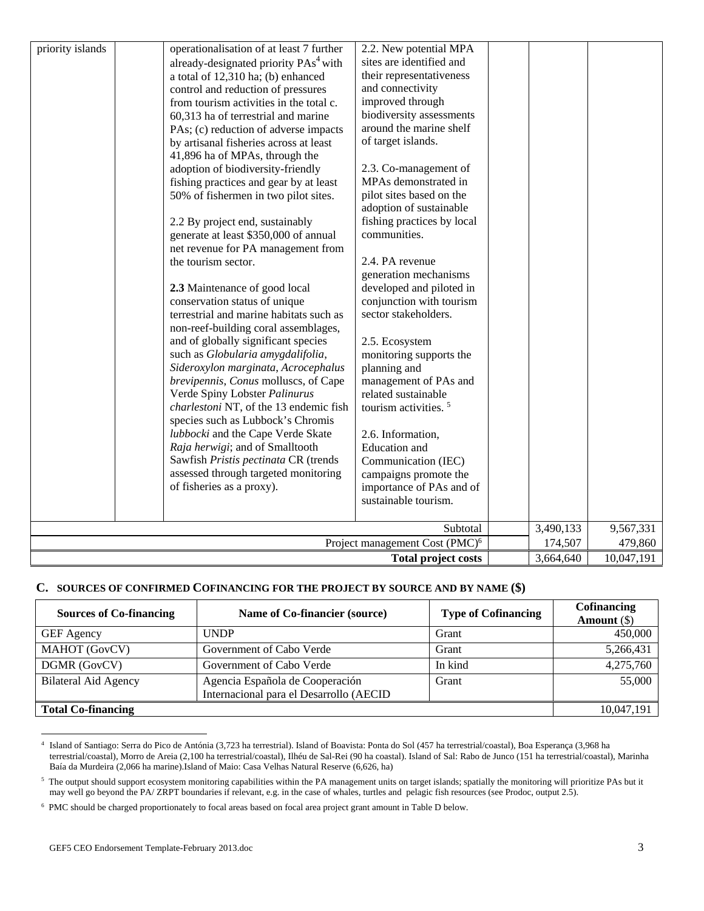| priority islands                                      | operationalisation of at least 7 further<br>already-designated priority PAs <sup>4</sup> with<br>a total of 12,310 ha; (b) enhanced<br>control and reduction of pressures<br>from tourism activities in the total c.<br>60,313 ha of terrestrial and marine<br>PAs; (c) reduction of adverse impacts<br>by artisanal fisheries across at least<br>41,896 ha of MPAs, through the<br>adoption of biodiversity-friendly<br>fishing practices and gear by at least<br>50% of fishermen in two pilot sites.<br>2.2 By project end, sustainably<br>generate at least \$350,000 of annual<br>net revenue for PA management from<br>the tourism sector.<br>2.3 Maintenance of good local<br>conservation status of unique<br>terrestrial and marine habitats such as<br>non-reef-building coral assemblages,<br>and of globally significant species<br>such as Globularia amygdalifolia,<br>Sideroxylon marginata, Acrocephalus<br>brevipennis, Conus molluscs, of Cape<br>Verde Spiny Lobster Palinurus<br>charlestoni NT, of the 13 endemic fish<br>species such as Lubbock's Chromis<br>lubbocki and the Cape Verde Skate<br>Raja herwigi; and of Smalltooth<br>Sawfish Pristis pectinata CR (trends<br>assessed through targeted monitoring<br>of fisheries as a proxy). | 2.2. New potential MPA<br>sites are identified and<br>their representativeness<br>and connectivity<br>improved through<br>biodiversity assessments<br>around the marine shelf<br>of target islands.<br>2.3. Co-management of<br>MPAs demonstrated in<br>pilot sites based on the<br>adoption of sustainable<br>fishing practices by local<br>communities.<br>2.4. PA revenue<br>generation mechanisms<br>developed and piloted in<br>conjunction with tourism<br>sector stakeholders.<br>2.5. Ecosystem<br>monitoring supports the<br>planning and<br>management of PAs and<br>related sustainable<br>tourism activities. <sup>5</sup><br>2.6. Information,<br><b>Education</b> and<br>Communication (IEC)<br>campaigns promote the<br>importance of PAs and of<br>sustainable tourism. |  |  |  |  |
|-------------------------------------------------------|-----------------------------------------------------------------------------------------------------------------------------------------------------------------------------------------------------------------------------------------------------------------------------------------------------------------------------------------------------------------------------------------------------------------------------------------------------------------------------------------------------------------------------------------------------------------------------------------------------------------------------------------------------------------------------------------------------------------------------------------------------------------------------------------------------------------------------------------------------------------------------------------------------------------------------------------------------------------------------------------------------------------------------------------------------------------------------------------------------------------------------------------------------------------------------------------------------------------------------------------------------------------------|-----------------------------------------------------------------------------------------------------------------------------------------------------------------------------------------------------------------------------------------------------------------------------------------------------------------------------------------------------------------------------------------------------------------------------------------------------------------------------------------------------------------------------------------------------------------------------------------------------------------------------------------------------------------------------------------------------------------------------------------------------------------------------------------|--|--|--|--|
|                                                       | Subtotal<br>3,490,133<br>9,567,331                                                                                                                                                                                                                                                                                                                                                                                                                                                                                                                                                                                                                                                                                                                                                                                                                                                                                                                                                                                                                                                                                                                                                                                                                                    |                                                                                                                                                                                                                                                                                                                                                                                                                                                                                                                                                                                                                                                                                                                                                                                         |  |  |  |  |
|                                                       | Project management Cost (PMC) <sup>6</sup><br>174,507<br>479,860                                                                                                                                                                                                                                                                                                                                                                                                                                                                                                                                                                                                                                                                                                                                                                                                                                                                                                                                                                                                                                                                                                                                                                                                      |                                                                                                                                                                                                                                                                                                                                                                                                                                                                                                                                                                                                                                                                                                                                                                                         |  |  |  |  |
| 10,047,191<br><b>Total project costs</b><br>3,664,640 |                                                                                                                                                                                                                                                                                                                                                                                                                                                                                                                                                                                                                                                                                                                                                                                                                                                                                                                                                                                                                                                                                                                                                                                                                                                                       |                                                                                                                                                                                                                                                                                                                                                                                                                                                                                                                                                                                                                                                                                                                                                                                         |  |  |  |  |

#### **C. SOURCES OF CONFIRMED COFINANCING FOR THE PROJECT BY SOURCE AND BY NAME (\$)**

| <b>Sources of Co-financing</b> | Name of Co-financier (source)                                              | <b>Type of Cofinancing</b> | Cofinancing<br>Amount $(\$)$ |
|--------------------------------|----------------------------------------------------------------------------|----------------------------|------------------------------|
| <b>GEF</b> Agency              | <b>UNDP</b>                                                                | Grant                      | 450,000                      |
| MAHOT (GovCV)                  | Government of Cabo Verde                                                   | Grant                      | 5,266,431                    |
| DGMR (GovCV)                   | Government of Cabo Verde                                                   | In kind                    | 4,275,760                    |
| <b>Bilateral Aid Agency</b>    | Agencia Española de Cooperación<br>Internacional para el Desarrollo (AECID | Grant                      | 55,000                       |
| <b>Total Co-financing</b>      |                                                                            |                            | 10,047,191                   |

<sup>4</sup> Island of Santiago: Serra do Pico de Antónia (3,723 ha terrestrial). Island of Boavista: Ponta do Sol (457 ha terrestrial/coastal), Boa Esperança (3,968 ha terrestrial/coastal), Morro de Areia (2,100 ha terrestrial/coastal), Ilhéu de Sal-Rei (90 ha coastal). Island of Sal: Rabo de Junco (151 ha terrestrial/coastal), Marinha Baía da Murdeira (2,066 ha marine).Island of Maio: Casa Velhas Natural Reserve (6,626, ha)

 $5$  The output should support ecosystem monitoring capabilities within the PA management units on target islands; spatially the monitoring will prioritize PAs but it may well go beyond the PA/ ZRPT boundaries if relevant, e.g. in the case of whales, turtles and pelagic fish resources (see Prodoc, output 2.5).

<sup>&</sup>lt;sup>6</sup> PMC should be charged proportionately to focal areas based on focal area project grant amount in Table D below.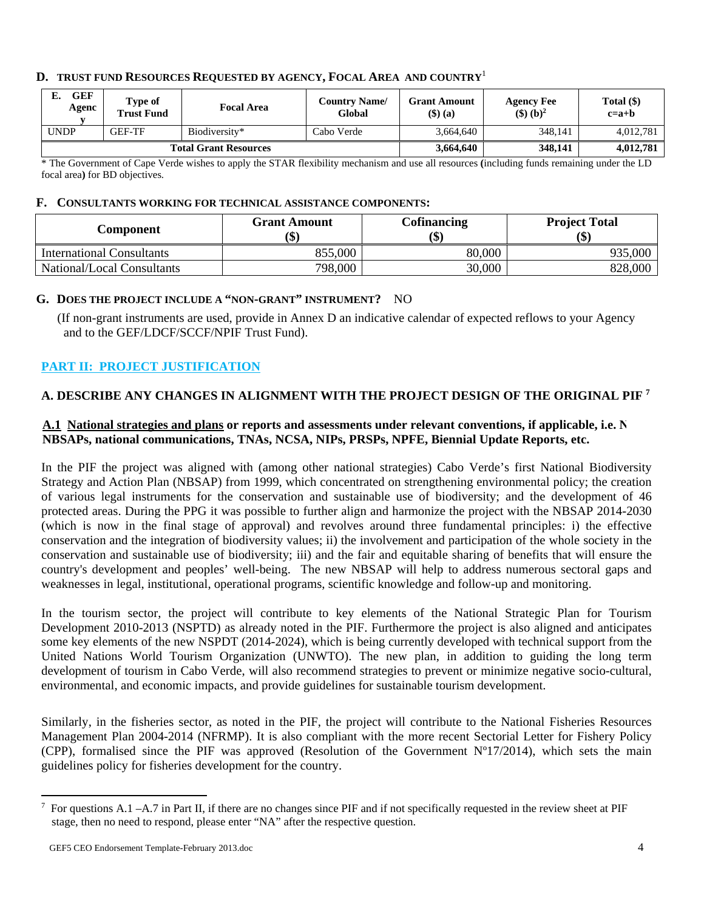### **D. TRUST FUND RESOURCES REQUESTED BY AGENCY, FOCAL AREA AND COUNTRY**<sup>1</sup>

| GEF<br>в.<br>Agenc           | Type of<br><b>Trust Fund</b> | <b>Focal Area</b> | <b>Country Name/</b><br>Global | <b>Grant Amount</b><br>$($ \$ $)$ $(a)$ | <b>Agency Fee</b><br>$(\text{S})^2$ | Total (\$)<br>$c=a+b$ |
|------------------------------|------------------------------|-------------------|--------------------------------|-----------------------------------------|-------------------------------------|-----------------------|
| <b>UNDP</b>                  | <b>GEF-TF</b>                | Biodiversity*     | Cabo Verde                     | 3.664.640                               | 348.141                             | 4.012.781             |
| <b>Total Grant Resources</b> |                              |                   | 3,664,640                      | 348,141                                 | 4,012,781                           |                       |

\* The Government of Cape Verde wishes to apply the STAR flexibility mechanism and use all resources **(**including funds remaining under the LD focal area**)** for BD objectives.

#### **F. CONSULTANTS WORKING FOR TECHNICAL ASSISTANCE COMPONENTS:**

| Component                        | <b>Grant Amount</b><br>(\$ | Cofinancing<br>(\$) | <b>Project Total</b><br>$\left( \text{\$}\right)$ |
|----------------------------------|----------------------------|---------------------|---------------------------------------------------|
| <b>International Consultants</b> | 855,000                    | 80,000              | 935,000                                           |
| National/Local Consultants       | 798,000                    | 30,000              | 828,000                                           |

#### **G. DOES THE PROJECT INCLUDE A "NON-GRANT" INSTRUMENT?** NO

 (If non-grant instruments are used, provide in Annex D an indicative calendar of expected reflows to your Agency and to the GEF/LDCF/SCCF/NPIF Trust Fund).

### **PART II: PROJECT JUSTIFICATION**

### **A. DESCRIBE ANY CHANGES IN ALIGNMENT WITH THE PROJECT DESIGN OF THE ORIGINAL PIF 7**

### **A.1 National strategies and plans or reports and assessments under relevant conventions, if applicable, i.e. N NBSAPs, national communications, TNAs, NCSA, NIPs, PRSPs, NPFE, Biennial Update Reports, etc.**

In the PIF the project was aligned with (among other national strategies) Cabo Verde's first National Biodiversity Strategy and Action Plan (NBSAP) from 1999, which concentrated on strengthening environmental policy; the creation of various legal instruments for the conservation and sustainable use of biodiversity; and the development of 46 protected areas. During the PPG it was possible to further align and harmonize the project with the NBSAP 2014-2030 (which is now in the final stage of approval) and revolves around three fundamental principles: i) the effective conservation and the integration of biodiversity values; ii) the involvement and participation of the whole society in the conservation and sustainable use of biodiversity; iii) and the fair and equitable sharing of benefits that will ensure the country's development and peoples' well-being. The new NBSAP will help to address numerous sectoral gaps and weaknesses in legal, institutional, operational programs, scientific knowledge and follow-up and monitoring.

In the tourism sector, the project will contribute to key elements of the National Strategic Plan for Tourism Development 2010-2013 (NSPTD) as already noted in the PIF. Furthermore the project is also aligned and anticipates some key elements of the new NSPDT (2014-2024), which is being currently developed with technical support from the United Nations World Tourism Organization (UNWTO). The new plan, in addition to guiding the long term development of tourism in Cabo Verde, will also recommend strategies to prevent or minimize negative socio-cultural, environmental, and economic impacts, and provide guidelines for sustainable tourism development.

Similarly, in the fisheries sector, as noted in the PIF, the project will contribute to the National Fisheries Resources Management Plan 2004-2014 (NFRMP). It is also compliant with the more recent Sectorial Letter for Fishery Policy (CPP), formalised since the PIF was approved (Resolution of the Government  $N^{\circ}17/2014$ ), which sets the main guidelines policy for fisheries development for the country.

<sup>7</sup> For questions A.1 –A.7 in Part II, if there are no changes since PIF and if not specifically requested in the review sheet at PIF stage, then no need to respond, please enter "NA" after the respective question.

GEF5 CEO Endorsement Template-February 2013.doc 4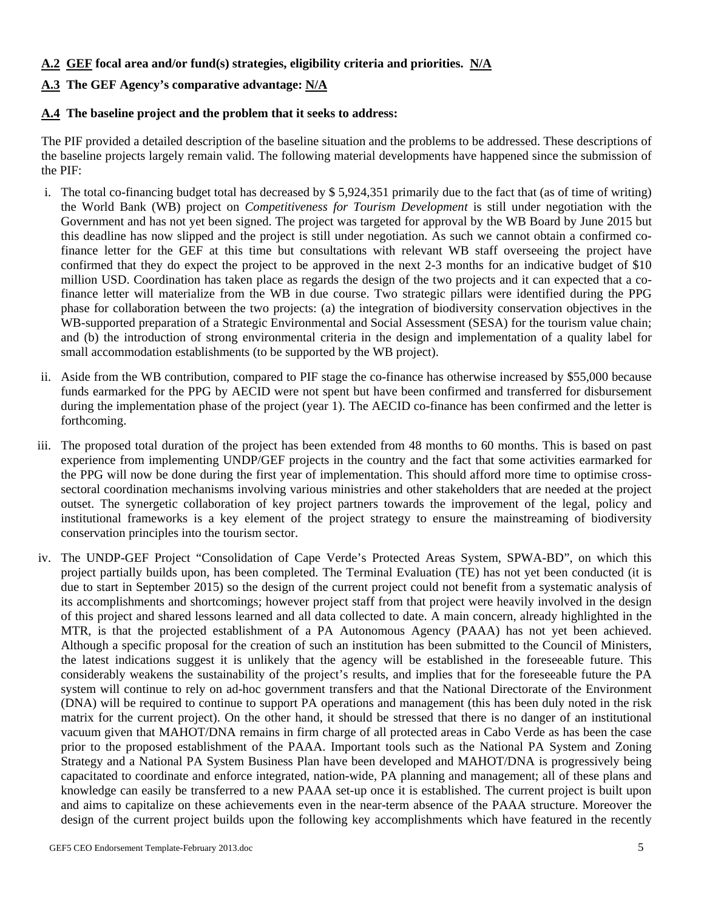### **A.2 GEF focal area and/or fund(s) strategies, eligibility criteria and priorities. N/A**

# **A.3 The GEF Agency's comparative advantage: N/A**

### **A.4 The baseline project and the problem that it seeks to address:**

The PIF provided a detailed description of the baseline situation and the problems to be addressed. These descriptions of the baseline projects largely remain valid. The following material developments have happened since the submission of the PIF:

- i. The total co-financing budget total has decreased by \$ 5,924,351 primarily due to the fact that (as of time of writing) the World Bank (WB) project on *Competitiveness for Tourism Development* is still under negotiation with the Government and has not yet been signed. The project was targeted for approval by the WB Board by June 2015 but this deadline has now slipped and the project is still under negotiation. As such we cannot obtain a confirmed cofinance letter for the GEF at this time but consultations with relevant WB staff overseeing the project have confirmed that they do expect the project to be approved in the next 2-3 months for an indicative budget of \$10 million USD. Coordination has taken place as regards the design of the two projects and it can expected that a cofinance letter will materialize from the WB in due course. Two strategic pillars were identified during the PPG phase for collaboration between the two projects: (a) the integration of biodiversity conservation objectives in the WB-supported preparation of a Strategic Environmental and Social Assessment (SESA) for the tourism value chain; and (b) the introduction of strong environmental criteria in the design and implementation of a quality label for small accommodation establishments (to be supported by the WB project).
- ii. Aside from the WB contribution, compared to PIF stage the co-finance has otherwise increased by \$55,000 because funds earmarked for the PPG by AECID were not spent but have been confirmed and transferred for disbursement during the implementation phase of the project (year 1). The AECID co-finance has been confirmed and the letter is forthcoming.
- iii. The proposed total duration of the project has been extended from 48 months to 60 months. This is based on past experience from implementing UNDP/GEF projects in the country and the fact that some activities earmarked for the PPG will now be done during the first year of implementation. This should afford more time to optimise crosssectoral coordination mechanisms involving various ministries and other stakeholders that are needed at the project outset. The synergetic collaboration of key project partners towards the improvement of the legal, policy and institutional frameworks is a key element of the project strategy to ensure the mainstreaming of biodiversity conservation principles into the tourism sector.
- iv. The UNDP-GEF Project "Consolidation of Cape Verde's Protected Areas System, SPWA-BD", on which this project partially builds upon, has been completed. The Terminal Evaluation (TE) has not yet been conducted (it is due to start in September 2015) so the design of the current project could not benefit from a systematic analysis of its accomplishments and shortcomings; however project staff from that project were heavily involved in the design of this project and shared lessons learned and all data collected to date. A main concern, already highlighted in the MTR, is that the projected establishment of a PA Autonomous Agency (PAAA) has not yet been achieved. Although a specific proposal for the creation of such an institution has been submitted to the Council of Ministers, the latest indications suggest it is unlikely that the agency will be established in the foreseeable future. This considerably weakens the sustainability of the project's results, and implies that for the foreseeable future the PA system will continue to rely on ad-hoc government transfers and that the National Directorate of the Environment (DNA) will be required to continue to support PA operations and management (this has been duly noted in the risk matrix for the current project). On the other hand, it should be stressed that there is no danger of an institutional vacuum given that MAHOT/DNA remains in firm charge of all protected areas in Cabo Verde as has been the case prior to the proposed establishment of the PAAA. Important tools such as the National PA System and Zoning Strategy and a National PA System Business Plan have been developed and MAHOT/DNA is progressively being capacitated to coordinate and enforce integrated, nation-wide, PA planning and management; all of these plans and knowledge can easily be transferred to a new PAAA set-up once it is established. The current project is built upon and aims to capitalize on these achievements even in the near-term absence of the PAAA structure. Moreover the design of the current project builds upon the following key accomplishments which have featured in the recently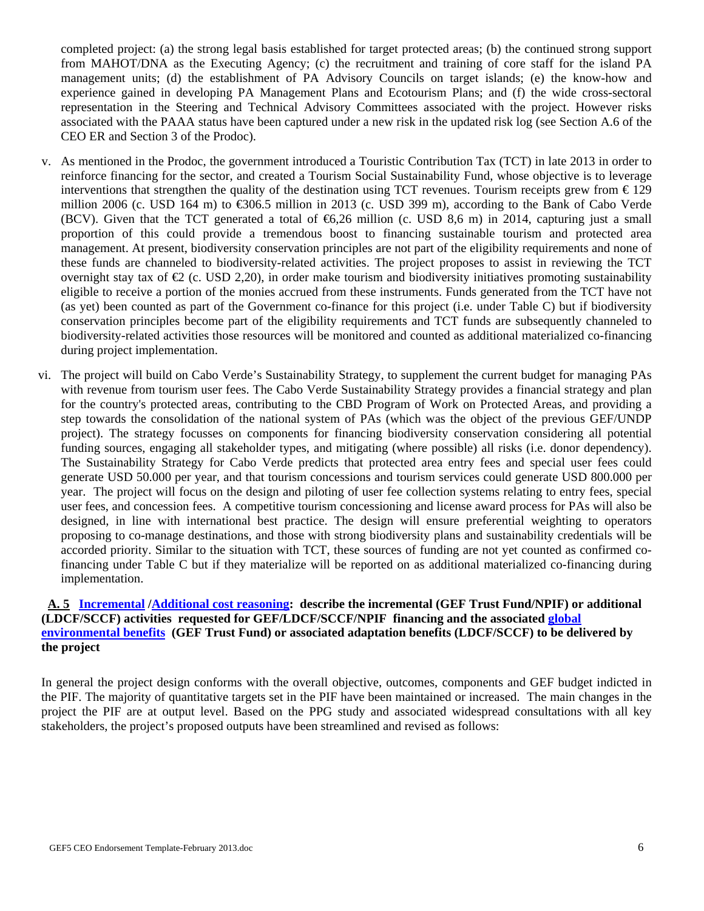completed project: (a) the strong legal basis established for target protected areas; (b) the continued strong support from MAHOT/DNA as the Executing Agency; (c) the recruitment and training of core staff for the island PA management units; (d) the establishment of PA Advisory Councils on target islands; (e) the know-how and experience gained in developing PA Management Plans and Ecotourism Plans; and (f) the wide cross-sectoral representation in the Steering and Technical Advisory Committees associated with the project. However risks associated with the PAAA status have been captured under a new risk in the updated risk log (see Section A.6 of the CEO ER and Section 3 of the Prodoc).

- v. As mentioned in the Prodoc, the government introduced a Touristic Contribution Tax (TCT) in late 2013 in order to reinforce financing for the sector, and created a Tourism Social Sustainability Fund, whose objective is to leverage interventions that strengthen the quality of the destination using TCT revenues. Tourism receipts grew from  $\epsilon$ 129 million 2006 (c. USD 164 m) to  $\text{\textsterling}06.5$  million in 2013 (c. USD 399 m), according to the Bank of Cabo Verde (BCV). Given that the TCT generated a total of  $\bigoplus$ , 26 million (c. USD 8,6 m) in 2014, capturing just a small proportion of this could provide a tremendous boost to financing sustainable tourism and protected area management. At present, biodiversity conservation principles are not part of the eligibility requirements and none of these funds are channeled to biodiversity-related activities. The project proposes to assist in reviewing the TCT overnight stay tax of  $\mathcal Q$  (c. USD 2,20), in order make tourism and biodiversity initiatives promoting sustainability eligible to receive a portion of the monies accrued from these instruments. Funds generated from the TCT have not (as yet) been counted as part of the Government co-finance for this project (i.e. under Table C) but if biodiversity conservation principles become part of the eligibility requirements and TCT funds are subsequently channeled to biodiversity-related activities those resources will be monitored and counted as additional materialized co-financing during project implementation.
- vi. The project will build on Cabo Verde's Sustainability Strategy, to supplement the current budget for managing PAs with revenue from tourism user fees. The Cabo Verde Sustainability Strategy provides a financial strategy and plan for the country's protected areas, contributing to the CBD Program of Work on Protected Areas, and providing a step towards the consolidation of the national system of PAs (which was the object of the previous GEF/UNDP project). The strategy focusses on components for financing biodiversity conservation considering all potential funding sources, engaging all stakeholder types, and mitigating (where possible) all risks (i.e. donor dependency). The Sustainability Strategy for Cabo Verde predicts that protected area entry fees and special user fees could generate USD 50.000 per year, and that tourism concessions and tourism services could generate USD 800.000 per year. The project will focus on the design and piloting of user fee collection systems relating to entry fees, special user fees, and concession fees. A competitive tourism concessioning and license award process for PAs will also be designed, in line with international best practice. The design will ensure preferential weighting to operators proposing to co-manage destinations, and those with strong biodiversity plans and sustainability credentials will be accorded priority. Similar to the situation with TCT, these sources of funding are not yet counted as confirmed cofinancing under Table C but if they materialize will be reported on as additional materialized co-financing during implementation.

### **A. 5 Incremental /Additional cost reasoning: describe the incremental (GEF Trust Fund/NPIF) or additional (LDCF/SCCF) activities requested for GEF/LDCF/SCCF/NPIF financing and the associated global environmental benefits (GEF Trust Fund) or associated adaptation benefits (LDCF/SCCF) to be delivered by the project**

In general the project design conforms with the overall objective, outcomes, components and GEF budget indicted in the PIF. The majority of quantitative targets set in the PIF have been maintained or increased. The main changes in the project the PIF are at output level. Based on the PPG study and associated widespread consultations with all key stakeholders, the project's proposed outputs have been streamlined and revised as follows: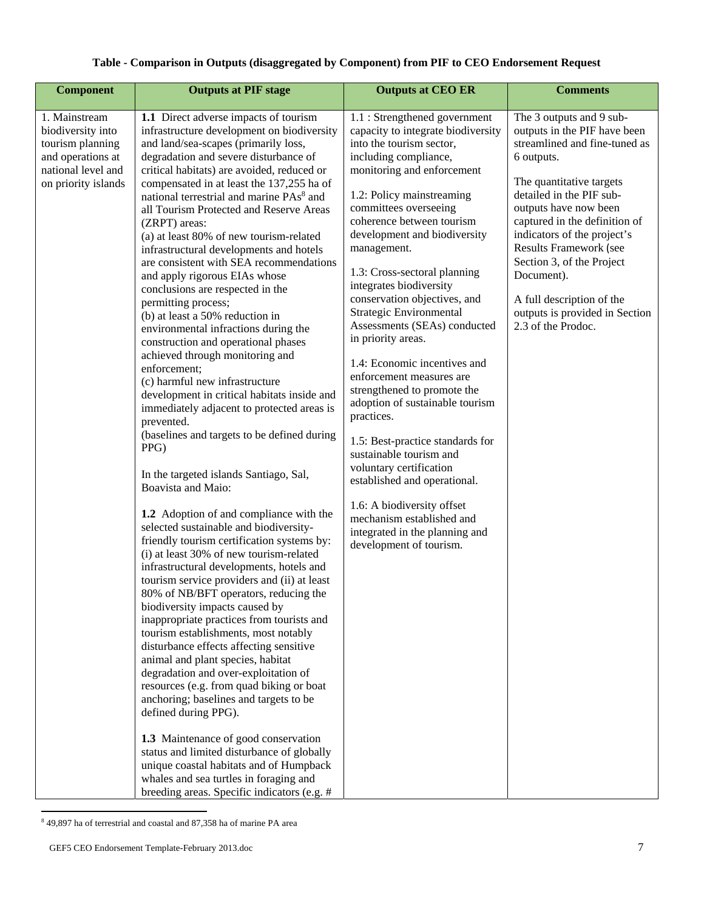### **Table - Comparison in Outputs (disaggregated by Component) from PIF to CEO Endorsement Request**

| <b>Component</b>                                                                                                         | <b>Outputs at PIF stage</b>                                                                                                                                                                                                                                                                                                                                                                                                                                                                                                                                                                                                                                                                                                                                                                                                                                                                                                                                                                                                                                                                                                                                                                                                                                                                                                                                                                                                                                                                                                                                                                                                                                                                                                                                                                                                                                                                                                                                        | <b>Outputs at CEO ER</b>                                                                                                                                                                                                                                                                                                                                                                                                                                                                                                                                                                                                                                                                                                                                                                                                                                           | <b>Comments</b>                                                                                                                                                                                                                                                                                                                                                                                                           |
|--------------------------------------------------------------------------------------------------------------------------|--------------------------------------------------------------------------------------------------------------------------------------------------------------------------------------------------------------------------------------------------------------------------------------------------------------------------------------------------------------------------------------------------------------------------------------------------------------------------------------------------------------------------------------------------------------------------------------------------------------------------------------------------------------------------------------------------------------------------------------------------------------------------------------------------------------------------------------------------------------------------------------------------------------------------------------------------------------------------------------------------------------------------------------------------------------------------------------------------------------------------------------------------------------------------------------------------------------------------------------------------------------------------------------------------------------------------------------------------------------------------------------------------------------------------------------------------------------------------------------------------------------------------------------------------------------------------------------------------------------------------------------------------------------------------------------------------------------------------------------------------------------------------------------------------------------------------------------------------------------------------------------------------------------------------------------------------------------------|--------------------------------------------------------------------------------------------------------------------------------------------------------------------------------------------------------------------------------------------------------------------------------------------------------------------------------------------------------------------------------------------------------------------------------------------------------------------------------------------------------------------------------------------------------------------------------------------------------------------------------------------------------------------------------------------------------------------------------------------------------------------------------------------------------------------------------------------------------------------|---------------------------------------------------------------------------------------------------------------------------------------------------------------------------------------------------------------------------------------------------------------------------------------------------------------------------------------------------------------------------------------------------------------------------|
| 1. Mainstream<br>biodiversity into<br>tourism planning<br>and operations at<br>national level and<br>on priority islands | 1.1 Direct adverse impacts of tourism<br>infrastructure development on biodiversity<br>and land/sea-scapes (primarily loss,<br>degradation and severe disturbance of<br>critical habitats) are avoided, reduced or<br>compensated in at least the 137,255 ha of<br>national terrestrial and marine PAs <sup>8</sup> and<br>all Tourism Protected and Reserve Areas<br>(ZRPT) areas:<br>(a) at least 80% of new tourism-related<br>infrastructural developments and hotels<br>are consistent with SEA recommendations<br>and apply rigorous EIAs whose<br>conclusions are respected in the<br>permitting process;<br>(b) at least a 50% reduction in<br>environmental infractions during the<br>construction and operational phases<br>achieved through monitoring and<br>enforcement;<br>(c) harmful new infrastructure<br>development in critical habitats inside and<br>immediately adjacent to protected areas is<br>prevented.<br>(baselines and targets to be defined during<br>PPG)<br>In the targeted islands Santiago, Sal,<br>Boavista and Maio:<br>1.2 Adoption of and compliance with the<br>selected sustainable and biodiversity-<br>friendly tourism certification systems by:<br>(i) at least 30% of new tourism-related<br>infrastructural developments, hotels and<br>tourism service providers and (ii) at least<br>80% of NB/BFT operators, reducing the<br>biodiversity impacts caused by<br>inappropriate practices from tourists and<br>tourism establishments, most notably<br>disturbance effects affecting sensitive<br>animal and plant species, habitat<br>degradation and over-exploitation of<br>resources (e.g. from quad biking or boat<br>anchoring; baselines and targets to be<br>defined during PPG).<br>1.3 Maintenance of good conservation<br>status and limited disturbance of globally<br>unique coastal habitats and of Humpback<br>whales and sea turtles in foraging and<br>breeding areas. Specific indicators (e.g. # | 1.1 : Strengthened government<br>capacity to integrate biodiversity<br>into the tourism sector,<br>including compliance,<br>monitoring and enforcement<br>1.2: Policy mainstreaming<br>committees overseeing<br>coherence between tourism<br>development and biodiversity<br>management.<br>1.3: Cross-sectoral planning<br>integrates biodiversity<br>conservation objectives, and<br>Strategic Environmental<br>Assessments (SEAs) conducted<br>in priority areas.<br>1.4: Economic incentives and<br>enforcement measures are<br>strengthened to promote the<br>adoption of sustainable tourism<br>practices.<br>1.5: Best-practice standards for<br>sustainable tourism and<br>voluntary certification<br>established and operational.<br>1.6: A biodiversity offset<br>mechanism established and<br>integrated in the planning and<br>development of tourism. | The 3 outputs and 9 sub-<br>outputs in the PIF have been<br>streamlined and fine-tuned as<br>6 outputs.<br>The quantitative targets<br>detailed in the PIF sub-<br>outputs have now been<br>captured in the definition of<br>indicators of the project's<br><b>Results Framework (see</b><br>Section 3, of the Project<br>Document).<br>A full description of the<br>outputs is provided in Section<br>2.3 of the Prodoc. |

 8 49,897 ha of terrestrial and coastal and 87,358 ha of marine PA area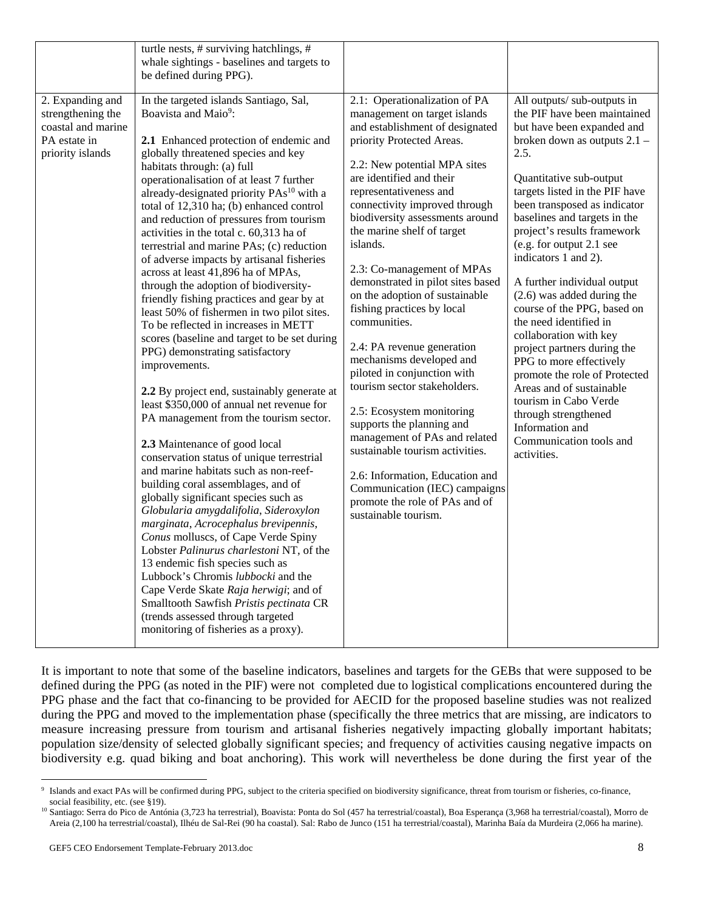|                                                                                                 | turtle nests, # surviving hatchlings, #<br>whale sightings - baselines and targets to<br>be defined during PPG).                                                                                                                                                                                                                                                                                                                                                                                                                                                                                                                                                                                                                                                                                                                                                                                                                                                                                                                                                                                                                                                                                                                                                                                                                                                                                                                                                                                                                                                                                         |                                                                                                                                                                                                                                                                                                                                                                                                                                                                                                                                                                                                                                                                                                                                                                                                                                                                           |                                                                                                                                                                                                                                                                                                                                                                                                                                                                                                                                                                                                                                                                                                                                          |
|-------------------------------------------------------------------------------------------------|----------------------------------------------------------------------------------------------------------------------------------------------------------------------------------------------------------------------------------------------------------------------------------------------------------------------------------------------------------------------------------------------------------------------------------------------------------------------------------------------------------------------------------------------------------------------------------------------------------------------------------------------------------------------------------------------------------------------------------------------------------------------------------------------------------------------------------------------------------------------------------------------------------------------------------------------------------------------------------------------------------------------------------------------------------------------------------------------------------------------------------------------------------------------------------------------------------------------------------------------------------------------------------------------------------------------------------------------------------------------------------------------------------------------------------------------------------------------------------------------------------------------------------------------------------------------------------------------------------|---------------------------------------------------------------------------------------------------------------------------------------------------------------------------------------------------------------------------------------------------------------------------------------------------------------------------------------------------------------------------------------------------------------------------------------------------------------------------------------------------------------------------------------------------------------------------------------------------------------------------------------------------------------------------------------------------------------------------------------------------------------------------------------------------------------------------------------------------------------------------|------------------------------------------------------------------------------------------------------------------------------------------------------------------------------------------------------------------------------------------------------------------------------------------------------------------------------------------------------------------------------------------------------------------------------------------------------------------------------------------------------------------------------------------------------------------------------------------------------------------------------------------------------------------------------------------------------------------------------------------|
| 2. Expanding and<br>strengthening the<br>coastal and marine<br>PA estate in<br>priority islands | In the targeted islands Santiago, Sal,<br>Boavista and Maio <sup>9</sup> :<br>2.1 Enhanced protection of endemic and<br>globally threatened species and key<br>habitats through: (a) full<br>operationalisation of at least 7 further<br>already-designated priority PAs <sup>10</sup> with a<br>total of 12,310 ha; (b) enhanced control<br>and reduction of pressures from tourism<br>activities in the total c. 60,313 ha of<br>terrestrial and marine PAs; (c) reduction<br>of adverse impacts by artisanal fisheries<br>across at least 41,896 ha of MPAs,<br>through the adoption of biodiversity-<br>friendly fishing practices and gear by at<br>least 50% of fishermen in two pilot sites.<br>To be reflected in increases in METT<br>scores (baseline and target to be set during<br>PPG) demonstrating satisfactory<br>improvements.<br>2.2 By project end, sustainably generate at<br>least \$350,000 of annual net revenue for<br>PA management from the tourism sector.<br>2.3 Maintenance of good local<br>conservation status of unique terrestrial<br>and marine habitats such as non-reef-<br>building coral assemblages, and of<br>globally significant species such as<br>Globularia amygdalifolia, Sideroxylon<br>marginata, Acrocephalus brevipennis,<br>Conus molluscs, of Cape Verde Spiny<br>Lobster Palinurus charlestoni NT, of the<br>13 endemic fish species such as<br>Lubbock's Chromis lubbocki and the<br>Cape Verde Skate Raja herwigi; and of<br>Smalltooth Sawfish Pristis pectinata CR<br>(trends assessed through targeted<br>monitoring of fisheries as a proxy). | 2.1: Operationalization of PA<br>management on target islands<br>and establishment of designated<br>priority Protected Areas.<br>2.2: New potential MPA sites<br>are identified and their<br>representativeness and<br>connectivity improved through<br>biodiversity assessments around<br>the marine shelf of target<br>islands.<br>2.3: Co-management of MPAs<br>demonstrated in pilot sites based<br>on the adoption of sustainable<br>fishing practices by local<br>communities.<br>2.4: PA revenue generation<br>mechanisms developed and<br>piloted in conjunction with<br>tourism sector stakeholders.<br>2.5: Ecosystem monitoring<br>supports the planning and<br>management of PAs and related<br>sustainable tourism activities.<br>2.6: Information, Education and<br>Communication (IEC) campaigns<br>promote the role of PAs and of<br>sustainable tourism. | All outputs/ sub-outputs in<br>the PIF have been maintained<br>but have been expanded and<br>broken down as outputs 2.1 -<br>2.5.<br>Quantitative sub-output<br>targets listed in the PIF have<br>been transposed as indicator<br>baselines and targets in the<br>project's results framework<br>(e.g. for output 2.1 see<br>indicators 1 and 2).<br>A further individual output<br>$(2.6)$ was added during the<br>course of the PPG, based on<br>the need identified in<br>collaboration with key<br>project partners during the<br>PPG to more effectively<br>promote the role of Protected<br>Areas and of sustainable<br>tourism in Cabo Verde<br>through strengthened<br>Information and<br>Communication tools and<br>activities. |

It is important to note that some of the baseline indicators, baselines and targets for the GEBs that were supposed to be defined during the PPG (as noted in the PIF) were not completed due to logistical complications encountered during the PPG phase and the fact that co-financing to be provided for AECID for the proposed baseline studies was not realized during the PPG and moved to the implementation phase (specifically the three metrics that are missing, are indicators to measure increasing pressure from tourism and artisanal fisheries negatively impacting globally important habitats; population size/density of selected globally significant species; and frequency of activities causing negative impacts on biodiversity e.g. quad biking and boat anchoring). This work will nevertheless be done during the first year of the

 9 Islands and exact PAs will be confirmed during PPG, subject to the criteria specified on biodiversity significance, threat from tourism or fisheries, co-finance,

social feasibility, etc. (see §19).<br><sup>10</sup> Santiago: Serra do Pico de Antónia (3,723 ha terrestrial), Boavista: Ponta do Sol (457 ha terrestrial/coastal), Boa Esperança (3,968 ha terrestrial/coastal), Morro de Areia (2,100 ha terrestrial/coastal), Ilhéu de Sal-Rei (90 ha coastal). Sal: Rabo de Junco (151 ha terrestrial/coastal), Marinha Baía da Murdeira (2,066 ha marine).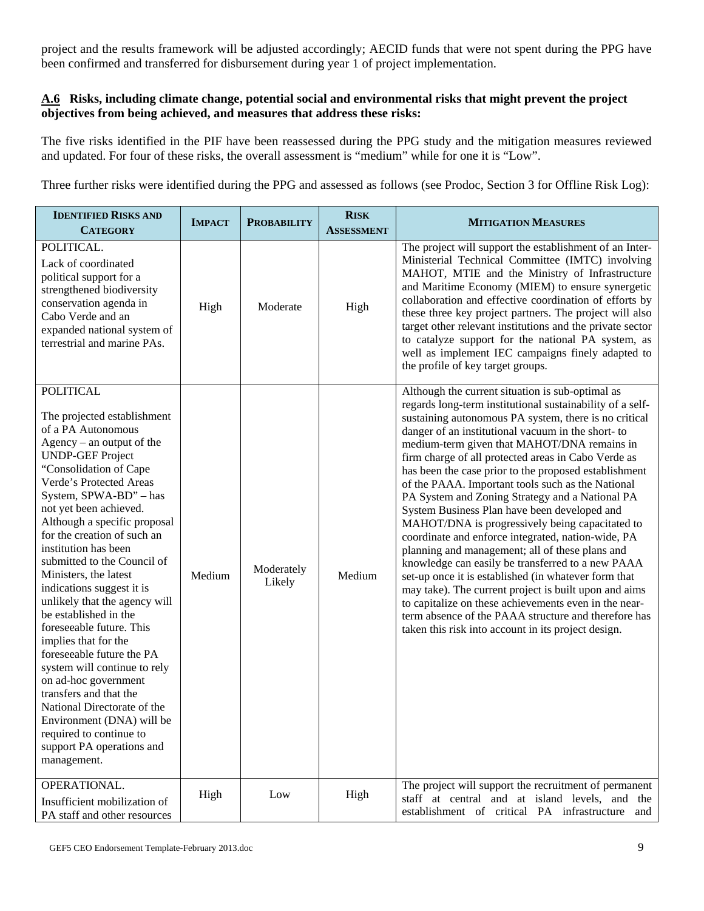project and the results framework will be adjusted accordingly; AECID funds that were not spent during the PPG have been confirmed and transferred for disbursement during year 1 of project implementation.

### **A.6 Risks, including climate change, potential social and environmental risks that might prevent the project objectives from being achieved, and measures that address these risks:**

The five risks identified in the PIF have been reassessed during the PPG study and the mitigation measures reviewed and updated. For four of these risks, the overall assessment is "medium" while for one it is "Low".

Three further risks were identified during the PPG and assessed as follows (see Prodoc, Section 3 for Offline Risk Log):

| <b>IDENTIFIED RISKS AND</b><br><b>CATEGORY</b>                                                                                                                                                                                                                                                                                                                                                                                                                                                                                                                                                                                                                                                                                                                                       | <b>IMPACT</b> | <b>PROBABILITY</b>   | <b>RISK</b><br><b>ASSESSMENT</b> | <b>MITIGATION MEASURES</b>                                                                                                                                                                                                                                                                                                                                                                                                                                                                                                                                                                                                                                                                                                                                                                                                                                                                                                                                                                                                                                   |
|--------------------------------------------------------------------------------------------------------------------------------------------------------------------------------------------------------------------------------------------------------------------------------------------------------------------------------------------------------------------------------------------------------------------------------------------------------------------------------------------------------------------------------------------------------------------------------------------------------------------------------------------------------------------------------------------------------------------------------------------------------------------------------------|---------------|----------------------|----------------------------------|--------------------------------------------------------------------------------------------------------------------------------------------------------------------------------------------------------------------------------------------------------------------------------------------------------------------------------------------------------------------------------------------------------------------------------------------------------------------------------------------------------------------------------------------------------------------------------------------------------------------------------------------------------------------------------------------------------------------------------------------------------------------------------------------------------------------------------------------------------------------------------------------------------------------------------------------------------------------------------------------------------------------------------------------------------------|
| POLITICAL.<br>Lack of coordinated<br>political support for a<br>strengthened biodiversity<br>conservation agenda in<br>Cabo Verde and an<br>expanded national system of<br>terrestrial and marine PAs.                                                                                                                                                                                                                                                                                                                                                                                                                                                                                                                                                                               | High          | Moderate             | High                             | The project will support the establishment of an Inter-<br>Ministerial Technical Committee (IMTC) involving<br>MAHOT, MTIE and the Ministry of Infrastructure<br>and Maritime Economy (MIEM) to ensure synergetic<br>collaboration and effective coordination of efforts by<br>these three key project partners. The project will also<br>target other relevant institutions and the private sector<br>to catalyze support for the national PA system, as<br>well as implement IEC campaigns finely adapted to<br>the profile of key target groups.                                                                                                                                                                                                                                                                                                                                                                                                                                                                                                          |
| <b>POLITICAL</b><br>The projected establishment<br>of a PA Autonomous<br>$Agency - an output of the$<br><b>UNDP-GEF Project</b><br>"Consolidation of Cape<br>Verde's Protected Areas<br>System, SPWA-BD" - has<br>not yet been achieved.<br>Although a specific proposal<br>for the creation of such an<br>institution has been<br>submitted to the Council of<br>Ministers, the latest<br>indications suggest it is<br>unlikely that the agency will<br>be established in the<br>foreseeable future. This<br>implies that for the<br>foreseeable future the PA<br>system will continue to rely<br>on ad-hoc government<br>transfers and that the<br>National Directorate of the<br>Environment (DNA) will be<br>required to continue to<br>support PA operations and<br>management. | Medium        | Moderately<br>Likely | Medium                           | Although the current situation is sub-optimal as<br>regards long-term institutional sustainability of a self-<br>sustaining autonomous PA system, there is no critical<br>danger of an institutional vacuum in the short-to<br>medium-term given that MAHOT/DNA remains in<br>firm charge of all protected areas in Cabo Verde as<br>has been the case prior to the proposed establishment<br>of the PAAA. Important tools such as the National<br>PA System and Zoning Strategy and a National PA<br>System Business Plan have been developed and<br>MAHOT/DNA is progressively being capacitated to<br>coordinate and enforce integrated, nation-wide, PA<br>planning and management; all of these plans and<br>knowledge can easily be transferred to a new PAAA<br>set-up once it is established (in whatever form that<br>may take). The current project is built upon and aims<br>to capitalize on these achievements even in the near-<br>term absence of the PAAA structure and therefore has<br>taken this risk into account in its project design. |
| OPERATIONAL.<br>Insufficient mobilization of<br>PA staff and other resources                                                                                                                                                                                                                                                                                                                                                                                                                                                                                                                                                                                                                                                                                                         | High          | Low                  | High                             | The project will support the recruitment of permanent<br>staff at central and at island levels, and the<br>establishment of critical PA infrastructure and                                                                                                                                                                                                                                                                                                                                                                                                                                                                                                                                                                                                                                                                                                                                                                                                                                                                                                   |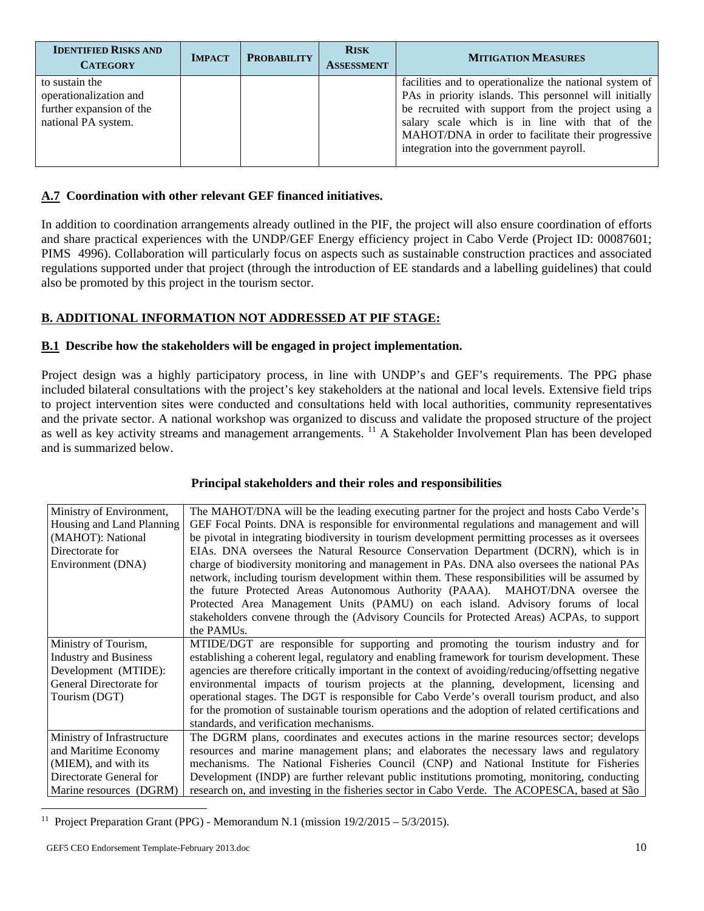| <b>IDENTIFIED RISKS AND</b><br><b>CATEGORY</b>                                              | <b>IMPACT</b> | <b>PROBABILITY</b> | <b>RISK</b><br><b>ASSESSMENT</b> | <b>MITIGATION MEASURES</b>                                                                                                                                                                                                                                                                                                  |
|---------------------------------------------------------------------------------------------|---------------|--------------------|----------------------------------|-----------------------------------------------------------------------------------------------------------------------------------------------------------------------------------------------------------------------------------------------------------------------------------------------------------------------------|
| to sustain the<br>operationalization and<br>further expansion of the<br>national PA system. |               |                    |                                  | facilities and to operationalize the national system of<br>PAs in priority islands. This personnel will initially<br>be recruited with support from the project using a<br>salary scale which is in line with that of the<br>MAHOT/DNA in order to facilitate their progressive<br>integration into the government payroll. |

### **A.7 Coordination with other relevant GEF financed initiatives.**

In addition to coordination arrangements already outlined in the PIF, the project will also ensure coordination of efforts and share practical experiences with the UNDP/GEF Energy efficiency project in Cabo Verde (Project ID: 00087601; PIMS 4996). Collaboration will particularly focus on aspects such as sustainable construction practices and associated regulations supported under that project (through the introduction of EE standards and a labelling guidelines) that could also be promoted by this project in the tourism sector.

### **B. ADDITIONAL INFORMATION NOT ADDRESSED AT PIF STAGE:**

### **B.1 Describe how the stakeholders will be engaged in project implementation.**

Project design was a highly participatory process, in line with UNDP's and GEF's requirements. The PPG phase included bilateral consultations with the project's key stakeholders at the national and local levels. Extensive field trips to project intervention sites were conducted and consultations held with local authorities, community representatives and the private sector. A national workshop was organized to discuss and validate the proposed structure of the project as well as key activity streams and management arrangements. <sup>11</sup> A Stakeholder Involvement Plan has been developed and is summarized below.

| Ministry of Environment,<br>Housing and Land Planning<br>(MAHOT): National<br>Directorate for<br>Environment (DNA)               | The MAHOT/DNA will be the leading executing partner for the project and hosts Cabo Verde's<br>GEF Focal Points. DNA is responsible for environmental regulations and management and will<br>be pivotal in integrating biodiversity in tourism development permitting processes as it oversees<br>EIAs. DNA oversees the Natural Resource Conservation Department (DCRN), which is in<br>charge of biodiversity monitoring and management in PAs. DNA also oversees the national PAs<br>network, including tourism development within them. These responsibilities will be assumed by<br>the future Protected Areas Autonomous Authority (PAAA). MAHOT/DNA oversee the<br>Protected Area Management Units (PAMU) on each island. Advisory forums of local<br>stakeholders convene through the (Advisory Councils for Protected Areas) ACPAs, to support |
|----------------------------------------------------------------------------------------------------------------------------------|--------------------------------------------------------------------------------------------------------------------------------------------------------------------------------------------------------------------------------------------------------------------------------------------------------------------------------------------------------------------------------------------------------------------------------------------------------------------------------------------------------------------------------------------------------------------------------------------------------------------------------------------------------------------------------------------------------------------------------------------------------------------------------------------------------------------------------------------------------|
| Ministry of Tourism,<br><b>Industry and Business</b><br>Development (MTIDE):<br>General Directorate for                          | the PAMU <sub>s</sub> .<br>MTIDE/DGT are responsible for supporting and promoting the tourism industry and for<br>establishing a coherent legal, regulatory and enabling framework for tourism development. These<br>agencies are therefore critically important in the context of avoiding/reducing/offsetting negative<br>environmental impacts of tourism projects at the planning, development, licensing and                                                                                                                                                                                                                                                                                                                                                                                                                                      |
| Tourism (DGT)                                                                                                                    | operational stages. The DGT is responsible for Cabo Verde's overall tourism product, and also<br>for the promotion of sustainable tourism operations and the adoption of related certifications and<br>standards, and verification mechanisms.                                                                                                                                                                                                                                                                                                                                                                                                                                                                                                                                                                                                         |
| Ministry of Infrastructure<br>and Maritime Economy<br>(MIEM), and with its<br>Directorate General for<br>Marine resources (DGRM) | The DGRM plans, coordinates and executes actions in the marine resources sector; develops<br>resources and marine management plans; and elaborates the necessary laws and regulatory<br>mechanisms. The National Fisheries Council (CNP) and National Institute for Fisheries<br>Development (INDP) are further relevant public institutions promoting, monitoring, conducting<br>research on, and investing in the fisheries sector in Cabo Verde. The ACOPESCA, based at São                                                                                                                                                                                                                                                                                                                                                                         |

#### **Principal stakeholders and their roles and responsibilities**

<sup>&</sup>lt;sup>11</sup> Project Preparation Grant (PPG) - Memorandum N.1 (mission  $19/2/2015 - 5/3/2015$ ).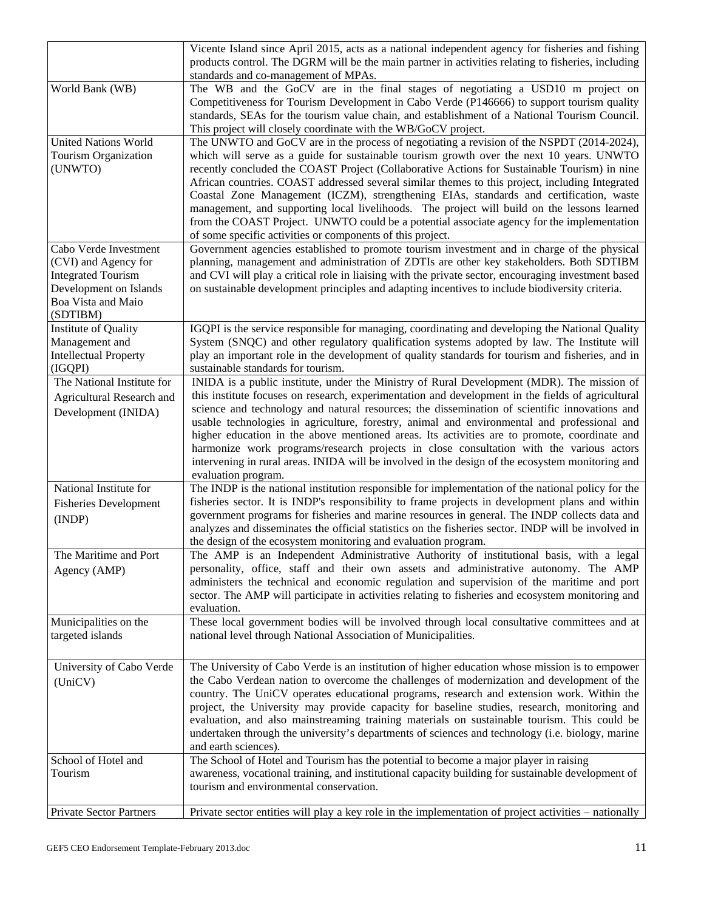|                                                                                                                                        | Vicente Island since April 2015, acts as a national independent agency for fisheries and fishing<br>products control. The DGRM will be the main partner in activities relating to fisheries, including<br>standards and co-management of MPAs.                                                                                                                                                                                                                                                                                                                                                                                                                                                                                                |
|----------------------------------------------------------------------------------------------------------------------------------------|-----------------------------------------------------------------------------------------------------------------------------------------------------------------------------------------------------------------------------------------------------------------------------------------------------------------------------------------------------------------------------------------------------------------------------------------------------------------------------------------------------------------------------------------------------------------------------------------------------------------------------------------------------------------------------------------------------------------------------------------------|
| World Bank (WB)                                                                                                                        | The WB and the GoCV are in the final stages of negotiating a USD10 m project on<br>Competitiveness for Tourism Development in Cabo Verde (P146666) to support tourism quality<br>standards, SEAs for the tourism value chain, and establishment of a National Tourism Council.<br>This project will closely coordinate with the WB/GoCV project.                                                                                                                                                                                                                                                                                                                                                                                              |
| <b>United Nations World</b><br>Tourism Organization<br>(UNWTO)                                                                         | The UNWTO and GoCV are in the process of negotiating a revision of the NSPDT (2014-2024),<br>which will serve as a guide for sustainable tourism growth over the next 10 years. UNWTO<br>recently concluded the COAST Project (Collaborative Actions for Sustainable Tourism) in nine<br>African countries. COAST addressed several similar themes to this project, including Integrated<br>Coastal Zone Management (ICZM), strengthening EIAs, standards and certification, waste<br>management, and supporting local livelihoods. The project will build on the lessons learned<br>from the COAST Project. UNWTO could be a potential associate agency for the implementation<br>of some specific activities or components of this project. |
| Cabo Verde Investment<br>(CVI) and Agency for<br><b>Integrated Tourism</b><br>Development on Islands<br>Boa Vista and Maio<br>(SDTIBM) | Government agencies established to promote tourism investment and in charge of the physical<br>planning, management and administration of ZDTIs are other key stakeholders. Both SDTIBM<br>and CVI will play a critical role in liaising with the private sector, encouraging investment based<br>on sustainable development principles and adapting incentives to include biodiversity criteria.                                                                                                                                                                                                                                                                                                                                             |
| Institute of Quality<br>Management and<br><b>Intellectual Property</b><br>(IGQPI)                                                      | IGQPI is the service responsible for managing, coordinating and developing the National Quality<br>System (SNQC) and other regulatory qualification systems adopted by law. The Institute will<br>play an important role in the development of quality standards for tourism and fisheries, and in<br>sustainable standards for tourism.                                                                                                                                                                                                                                                                                                                                                                                                      |
| The National Institute for<br>Agricultural Research and<br>Development (INIDA)                                                         | INIDA is a public institute, under the Ministry of Rural Development (MDR). The mission of<br>this institute focuses on research, experimentation and development in the fields of agricultural<br>science and technology and natural resources; the dissemination of scientific innovations and<br>usable technologies in agriculture, forestry, animal and environmental and professional and<br>higher education in the above mentioned areas. Its activities are to promote, coordinate and<br>harmonize work programs/research projects in close consultation with the various actors<br>intervening in rural areas. INIDA will be involved in the design of the ecosystem monitoring and<br>evaluation program.                         |
| National Institute for<br><b>Fisheries Development</b><br>(INDP)                                                                       | The INDP is the national institution responsible for implementation of the national policy for the<br>fisheries sector. It is INDP's responsibility to frame projects in development plans and within<br>government programs for fisheries and marine resources in general. The INDP collects data and<br>analyzes and disseminates the official statistics on the fisheries sector. INDP will be involved in<br>the design of the ecosystem monitoring and evaluation program.                                                                                                                                                                                                                                                               |
| The Maritime and Port<br>Agency (AMP)                                                                                                  | The AMP is an Independent Administrative Authority of institutional basis, with a legal<br>personality, office, staff and their own assets and administrative autonomy. The AMP<br>administers the technical and economic regulation and supervision of the maritime and port<br>sector. The AMP will participate in activities relating to fisheries and ecosystem monitoring and<br>evaluation.                                                                                                                                                                                                                                                                                                                                             |
| Municipalities on the<br>targeted islands                                                                                              | These local government bodies will be involved through local consultative committees and at<br>national level through National Association of Municipalities.                                                                                                                                                                                                                                                                                                                                                                                                                                                                                                                                                                                 |
| University of Cabo Verde<br>(UniCV)                                                                                                    | The University of Cabo Verde is an institution of higher education whose mission is to empower<br>the Cabo Verdean nation to overcome the challenges of modernization and development of the<br>country. The UniCV operates educational programs, research and extension work. Within the<br>project, the University may provide capacity for baseline studies, research, monitoring and<br>evaluation, and also mainstreaming training materials on sustainable tourism. This could be<br>undertaken through the university's departments of sciences and technology (i.e. biology, marine<br>and earth sciences).                                                                                                                           |
| School of Hotel and<br>Tourism                                                                                                         | The School of Hotel and Tourism has the potential to become a major player in raising<br>awareness, vocational training, and institutional capacity building for sustainable development of<br>tourism and environmental conservation.                                                                                                                                                                                                                                                                                                                                                                                                                                                                                                        |
| <b>Private Sector Partners</b>                                                                                                         | Private sector entities will play a key role in the implementation of project activities – nationally                                                                                                                                                                                                                                                                                                                                                                                                                                                                                                                                                                                                                                         |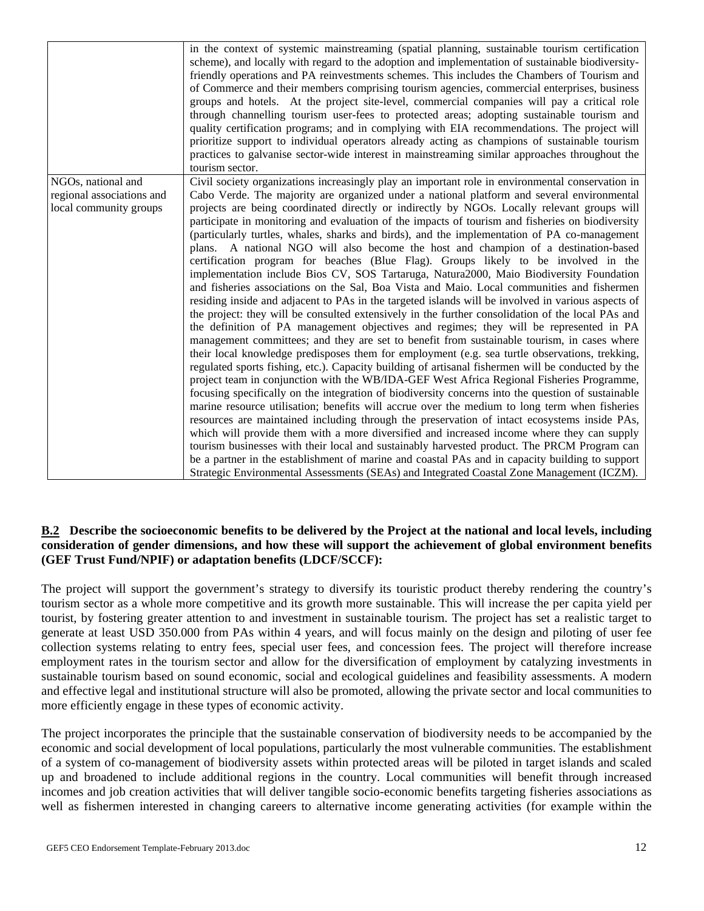|                                                 | in the context of systemic mainstreaming (spatial planning, sustainable tourism certification<br>scheme), and locally with regard to the adoption and implementation of sustainable biodiversity-<br>friendly operations and PA reinvestments schemes. This includes the Chambers of Tourism and<br>of Commerce and their members comprising tourism agencies, commercial enterprises, business<br>groups and hotels. At the project site-level, commercial companies will pay a critical role<br>through channelling tourism user-fees to protected areas; adopting sustainable tourism and<br>quality certification programs; and in complying with EIA recommendations. The project will<br>prioritize support to individual operators already acting as champions of sustainable tourism<br>practices to galvanise sector-wide interest in mainstreaming similar approaches throughout the<br>tourism sector.                                                                                                                                                                                                                                                                                                                                                                                                                                                                                                                                                                                                                                                                                                                                                                                                                                                                                                                                                                                                                                                                                                                                                                  |
|-------------------------------------------------|------------------------------------------------------------------------------------------------------------------------------------------------------------------------------------------------------------------------------------------------------------------------------------------------------------------------------------------------------------------------------------------------------------------------------------------------------------------------------------------------------------------------------------------------------------------------------------------------------------------------------------------------------------------------------------------------------------------------------------------------------------------------------------------------------------------------------------------------------------------------------------------------------------------------------------------------------------------------------------------------------------------------------------------------------------------------------------------------------------------------------------------------------------------------------------------------------------------------------------------------------------------------------------------------------------------------------------------------------------------------------------------------------------------------------------------------------------------------------------------------------------------------------------------------------------------------------------------------------------------------------------------------------------------------------------------------------------------------------------------------------------------------------------------------------------------------------------------------------------------------------------------------------------------------------------------------------------------------------------------------------------------------------------------------------------------------------------|
| NGOs, national and<br>regional associations and | Civil society organizations increasingly play an important role in environmental conservation in<br>Cabo Verde. The majority are organized under a national platform and several environmental                                                                                                                                                                                                                                                                                                                                                                                                                                                                                                                                                                                                                                                                                                                                                                                                                                                                                                                                                                                                                                                                                                                                                                                                                                                                                                                                                                                                                                                                                                                                                                                                                                                                                                                                                                                                                                                                                     |
| local community groups                          | projects are being coordinated directly or indirectly by NGOs. Locally relevant groups will<br>participate in monitoring and evaluation of the impacts of tourism and fisheries on biodiversity<br>(particularly turtles, whales, sharks and birds), and the implementation of PA co-management<br>plans. A national NGO will also become the host and champion of a destination-based<br>certification program for beaches (Blue Flag). Groups likely to be involved in the<br>implementation include Bios CV, SOS Tartaruga, Natura2000, Maio Biodiversity Foundation<br>and fisheries associations on the Sal, Boa Vista and Maio. Local communities and fishermen<br>residing inside and adjacent to PAs in the targeted islands will be involved in various aspects of<br>the project: they will be consulted extensively in the further consolidation of the local PAs and<br>the definition of PA management objectives and regimes; they will be represented in PA<br>management committees; and they are set to benefit from sustainable tourism, in cases where<br>their local knowledge predisposes them for employment (e.g. sea turtle observations, trekking,<br>regulated sports fishing, etc.). Capacity building of artisanal fishermen will be conducted by the<br>project team in conjunction with the WB/IDA-GEF West Africa Regional Fisheries Programme,<br>focusing specifically on the integration of biodiversity concerns into the question of sustainable<br>marine resource utilisation; benefits will accrue over the medium to long term when fisheries<br>resources are maintained including through the preservation of intact ecosystems inside PAs,<br>which will provide them with a more diversified and increased income where they can supply<br>tourism businesses with their local and sustainably harvested product. The PRCM Program can<br>be a partner in the establishment of marine and coastal PAs and in capacity building to support<br>Strategic Environmental Assessments (SEAs) and Integrated Coastal Zone Management (ICZM). |

#### **B.2 Describe the socioeconomic benefits to be delivered by the Project at the national and local levels, including consideration of gender dimensions, and how these will support the achievement of global environment benefits (GEF Trust Fund/NPIF) or adaptation benefits (LDCF/SCCF):**

The project will support the government's strategy to diversify its touristic product thereby rendering the country's tourism sector as a whole more competitive and its growth more sustainable. This will increase the per capita yield per tourist, by fostering greater attention to and investment in sustainable tourism. The project has set a realistic target to generate at least USD 350.000 from PAs within 4 years, and will focus mainly on the design and piloting of user fee collection systems relating to entry fees, special user fees, and concession fees. The project will therefore increase employment rates in the tourism sector and allow for the diversification of employment by catalyzing investments in sustainable tourism based on sound economic, social and ecological guidelines and feasibility assessments. A modern and effective legal and institutional structure will also be promoted, allowing the private sector and local communities to more efficiently engage in these types of economic activity.

The project incorporates the principle that the sustainable conservation of biodiversity needs to be accompanied by the economic and social development of local populations, particularly the most vulnerable communities. The establishment of a system of co-management of biodiversity assets within protected areas will be piloted in target islands and scaled up and broadened to include additional regions in the country. Local communities will benefit through increased incomes and job creation activities that will deliver tangible socio-economic benefits targeting fisheries associations as well as fishermen interested in changing careers to alternative income generating activities (for example within the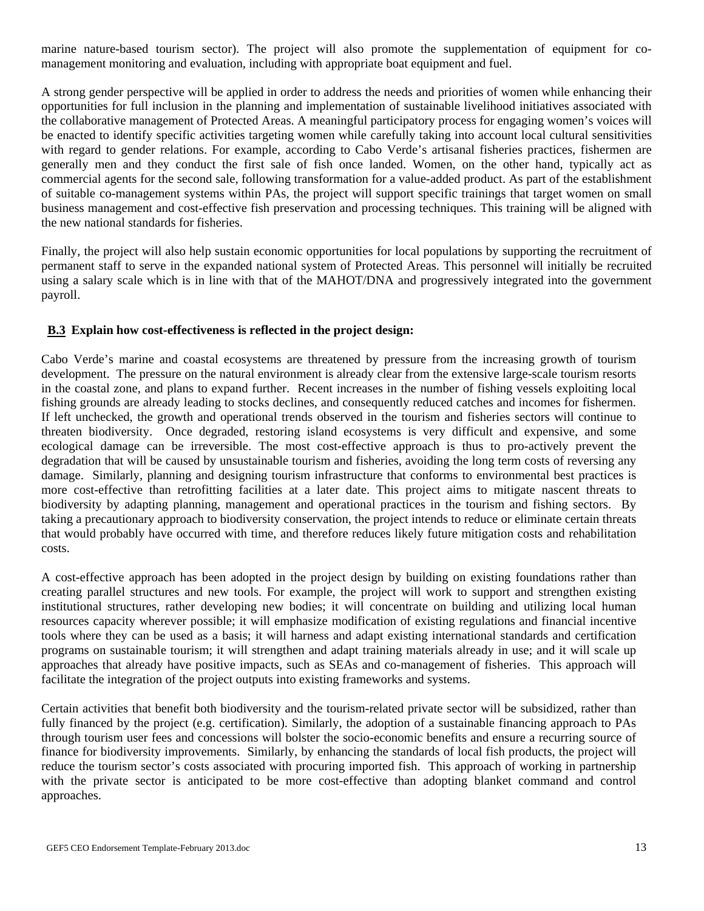marine nature-based tourism sector). The project will also promote the supplementation of equipment for comanagement monitoring and evaluation, including with appropriate boat equipment and fuel.

A strong gender perspective will be applied in order to address the needs and priorities of women while enhancing their opportunities for full inclusion in the planning and implementation of sustainable livelihood initiatives associated with the collaborative management of Protected Areas. A meaningful participatory process for engaging women's voices will be enacted to identify specific activities targeting women while carefully taking into account local cultural sensitivities with regard to gender relations. For example, according to Cabo Verde's artisanal fisheries practices, fishermen are generally men and they conduct the first sale of fish once landed. Women, on the other hand, typically act as commercial agents for the second sale, following transformation for a value-added product. As part of the establishment of suitable co-management systems within PAs, the project will support specific trainings that target women on small business management and cost-effective fish preservation and processing techniques. This training will be aligned with the new national standards for fisheries.

Finally, the project will also help sustain economic opportunities for local populations by supporting the recruitment of permanent staff to serve in the expanded national system of Protected Areas. This personnel will initially be recruited using a salary scale which is in line with that of the MAHOT/DNA and progressively integrated into the government payroll.

#### **B.3 Explain how cost-effectiveness is reflected in the project design:**

Cabo Verde's marine and coastal ecosystems are threatened by pressure from the increasing growth of tourism development. The pressure on the natural environment is already clear from the extensive large-scale tourism resorts in the coastal zone, and plans to expand further. Recent increases in the number of fishing vessels exploiting local fishing grounds are already leading to stocks declines, and consequently reduced catches and incomes for fishermen. If left unchecked, the growth and operational trends observed in the tourism and fisheries sectors will continue to threaten biodiversity. Once degraded, restoring island ecosystems is very difficult and expensive, and some ecological damage can be irreversible. The most cost-effective approach is thus to pro-actively prevent the degradation that will be caused by unsustainable tourism and fisheries, avoiding the long term costs of reversing any damage. Similarly, planning and designing tourism infrastructure that conforms to environmental best practices is more cost-effective than retrofitting facilities at a later date. This project aims to mitigate nascent threats to biodiversity by adapting planning, management and operational practices in the tourism and fishing sectors. By taking a precautionary approach to biodiversity conservation, the project intends to reduce or eliminate certain threats that would probably have occurred with time, and therefore reduces likely future mitigation costs and rehabilitation costs.

A cost-effective approach has been adopted in the project design by building on existing foundations rather than creating parallel structures and new tools. For example, the project will work to support and strengthen existing institutional structures, rather developing new bodies; it will concentrate on building and utilizing local human resources capacity wherever possible; it will emphasize modification of existing regulations and financial incentive tools where they can be used as a basis; it will harness and adapt existing international standards and certification programs on sustainable tourism; it will strengthen and adapt training materials already in use; and it will scale up approaches that already have positive impacts, such as SEAs and co-management of fisheries. This approach will facilitate the integration of the project outputs into existing frameworks and systems.

Certain activities that benefit both biodiversity and the tourism-related private sector will be subsidized, rather than fully financed by the project (e.g. certification). Similarly, the adoption of a sustainable financing approach to PAs through tourism user fees and concessions will bolster the socio-economic benefits and ensure a recurring source of finance for biodiversity improvements. Similarly, by enhancing the standards of local fish products, the project will reduce the tourism sector's costs associated with procuring imported fish. This approach of working in partnership with the private sector is anticipated to be more cost-effective than adopting blanket command and control approaches.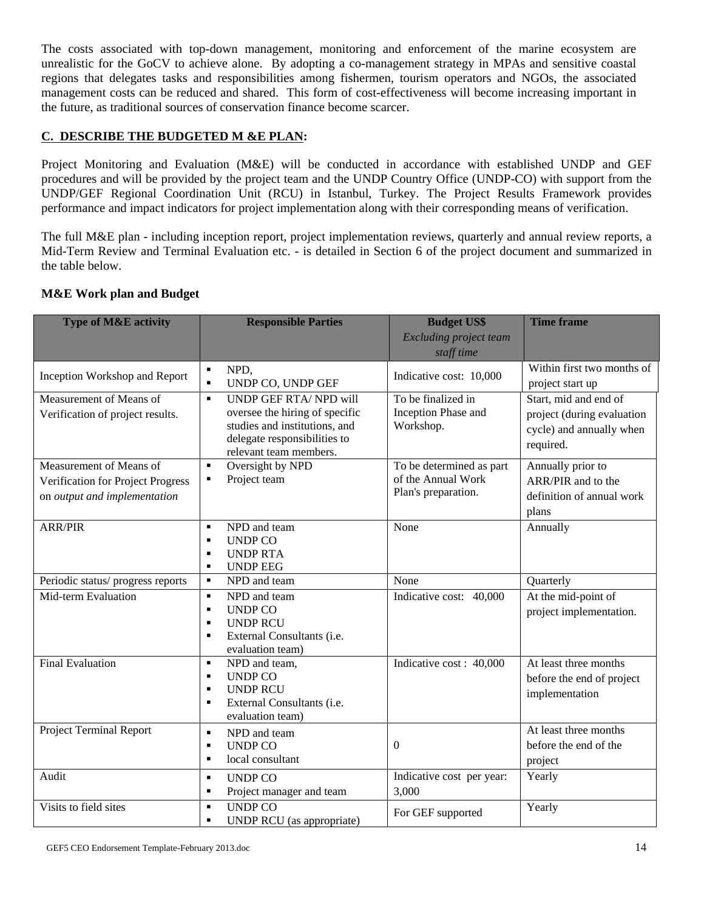The costs associated with top-down management, monitoring and enforcement of the marine ecosystem are unrealistic for the GoCV to achieve alone. By adopting a co-management strategy in MPAs and sensitive coastal regions that delegates tasks and responsibilities among fishermen, tourism operators and NGOs, the associated management costs can be reduced and shared. This form of cost-effectiveness will become increasing important in the future, as traditional sources of conservation finance become scarcer.

### **C. DESCRIBE THE BUDGETED M &E PLAN:**

Project Monitoring and Evaluation (M&E) will be conducted in accordance with established UNDP and GEF procedures and will be provided by the project team and the UNDP Country Office (UNDP-CO) with support from the UNDP/GEF Regional Coordination Unit (RCU) in Istanbul, Turkey. The Project Results Framework provides performance and impact indicators for project implementation along with their corresponding means of verification.

The full M&E plan - including inception report, project implementation reviews, quarterly and annual review reports, a Mid-Term Review and Terminal Evaluation etc. - is detailed in Section 6 of the project document and summarized in the table below.

### **M&E Work plan and Budget**

| <b>Type of M&amp;E activity</b>                                                              | <b>Responsible Parties</b>                                                                                                                                                   | <b>Budget US\$</b><br><b>Excluding project team</b><br>staff time     | <b>Time frame</b>                                                                            |
|----------------------------------------------------------------------------------------------|------------------------------------------------------------------------------------------------------------------------------------------------------------------------------|-----------------------------------------------------------------------|----------------------------------------------------------------------------------------------|
| Inception Workshop and Report                                                                | $\blacksquare$<br>NPD,<br>UNDP CO, UNDP GEF<br>$\blacksquare$                                                                                                                | Indicative cost: 10,000                                               | Within first two months of<br>project start up                                               |
| Measurement of Means of<br>Verification of project results.                                  | <b>UNDP GEF RTA/ NPD will</b><br>$\blacksquare$<br>oversee the hiring of specific<br>studies and institutions, and<br>delegate responsibilities to<br>relevant team members. | To be finalized in<br>Inception Phase and<br>Workshop.                | Start, mid and end of<br>project (during evaluation<br>cycle) and annually when<br>required. |
| Measurement of Means of<br>Verification for Project Progress<br>on output and implementation | Oversight by NPD<br>$\blacksquare$<br>Project team<br>٠                                                                                                                      | To be determined as part<br>of the Annual Work<br>Plan's preparation. | Annually prior to<br>ARR/PIR and to the<br>definition of annual work<br>plans                |
| <b>ARR/PIR</b>                                                                               | NPD and team<br>$\blacksquare$<br><b>UNDP CO</b><br>$\blacksquare$<br><b>UNDP RTA</b><br>٠<br><b>UNDP EEG</b><br>٠                                                           | None                                                                  | Annually                                                                                     |
| Periodic status/ progress reports                                                            | NPD and team<br>$\blacksquare$                                                                                                                                               | None                                                                  | Quarterly                                                                                    |
| Mid-term Evaluation                                                                          | NPD and team<br>$\blacksquare$<br><b>UNDP CO</b><br>$\blacksquare$<br><b>UNDP RCU</b><br>$\blacksquare$<br>External Consultants (i.e.<br>٠<br>evaluation team)               | Indicative cost: 40,000                                               | At the mid-point of<br>project implementation.                                               |
| <b>Final Evaluation</b>                                                                      | NPD and team,<br>$\blacksquare$<br><b>UNDP CO</b><br>$\blacksquare$<br><b>UNDP RCU</b><br>$\blacksquare$<br>External Consultants (i.e.<br>$\blacksquare$<br>evaluation team) | Indicative cost: 40,000                                               | At least three months<br>before the end of project<br>implementation                         |
| Project Terminal Report                                                                      | NPD and team<br>$\blacksquare$<br><b>UNDP CO</b><br>$\blacksquare$<br>local consultant<br>×,                                                                                 | $\Omega$                                                              | At least three months<br>before the end of the<br>project                                    |
| Audit                                                                                        | <b>UNDP CO</b><br>$\blacksquare$<br>Project manager and team<br>$\blacksquare$                                                                                               | Indicative cost per year:<br>3,000                                    | Yearly                                                                                       |
| Visits to field sites                                                                        | <b>UNDP CO</b><br>$\blacksquare$<br>UNDP RCU (as appropriate)<br>٠                                                                                                           | For GEF supported                                                     | Yearly                                                                                       |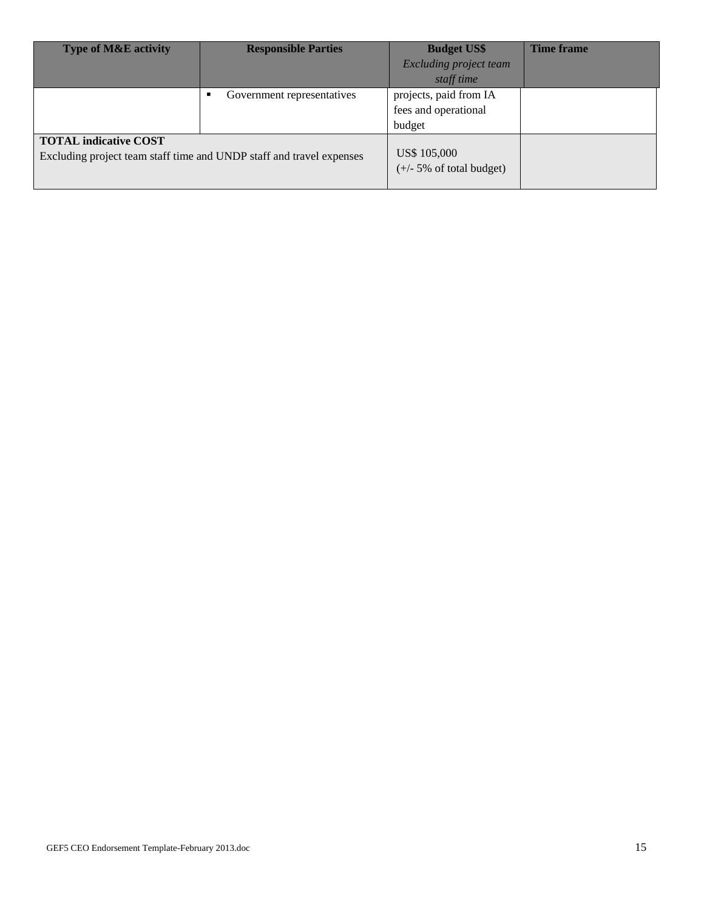| <b>Type of M&amp;E activity</b>                                      | <b>Responsible Parties</b> | <b>Budget US\$</b>                  | <b>Time frame</b> |
|----------------------------------------------------------------------|----------------------------|-------------------------------------|-------------------|
|                                                                      |                            | Excluding project team              |                   |
|                                                                      |                            | staff time                          |                   |
|                                                                      | Government representatives | projects, paid from IA              |                   |
|                                                                      |                            | fees and operational                |                   |
|                                                                      |                            | budget                              |                   |
| <b>TOTAL indicative COST</b>                                         |                            |                                     |                   |
| Excluding project team staff time and UNDP staff and travel expenses |                            | US\$ 105,000                        |                   |
|                                                                      |                            | $(+/- 5\% \text{ of total budget})$ |                   |
|                                                                      |                            |                                     |                   |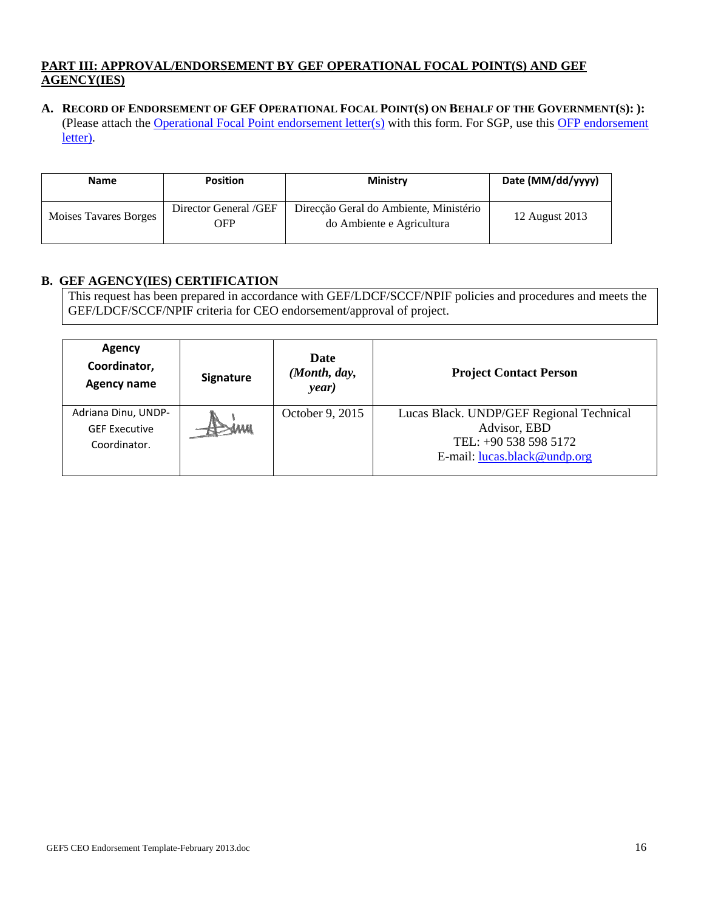### **PART III: APPROVAL/ENDORSEMENT BY GEF OPERATIONAL FOCAL POINT(S) AND GEF AGENCY(IES)**

**A. RECORD OF ENDORSEMENT OF GEF OPERATIONAL FOCAL POINT(S) ON BEHALF OF THE GOVERNMENT(S): ):** (Please attach the Operational Focal Point endorsement letter(s) with this form. For SGP, use this OFP endorsement letter).

| <b>Name</b>           | <b>Position</b>              | <b>Ministry</b>                                                     | Date (MM/dd/yyyy) |
|-----------------------|------------------------------|---------------------------------------------------------------------|-------------------|
| Moises Tavares Borges | Director General /GEF<br>OFP | Direcção Geral do Ambiente, Ministério<br>do Ambiente e Agricultura | 12 August 2013    |

## **B. GEF AGENCY(IES) CERTIFICATION**

This request has been prepared in accordance with GEF/LDCF/SCCF/NPIF policies and procedures and meets the GEF/LDCF/SCCF/NPIF criteria for CEO endorsement/approval of project.

| Agency<br>Coordinator,<br><b>Agency name</b>                | <b>Signature</b> | Date<br>(Month, day,<br>year) | <b>Project Contact Person</b>                                                                                     |
|-------------------------------------------------------------|------------------|-------------------------------|-------------------------------------------------------------------------------------------------------------------|
| Adriana Dinu, UNDP-<br><b>GEF Executive</b><br>Coordinator. |                  | October 9, 2015               | Lucas Black. UNDP/GEF Regional Technical<br>Advisor, EBD<br>TEL: +90 538 598 5172<br>E-mail: lucas.black@undp.org |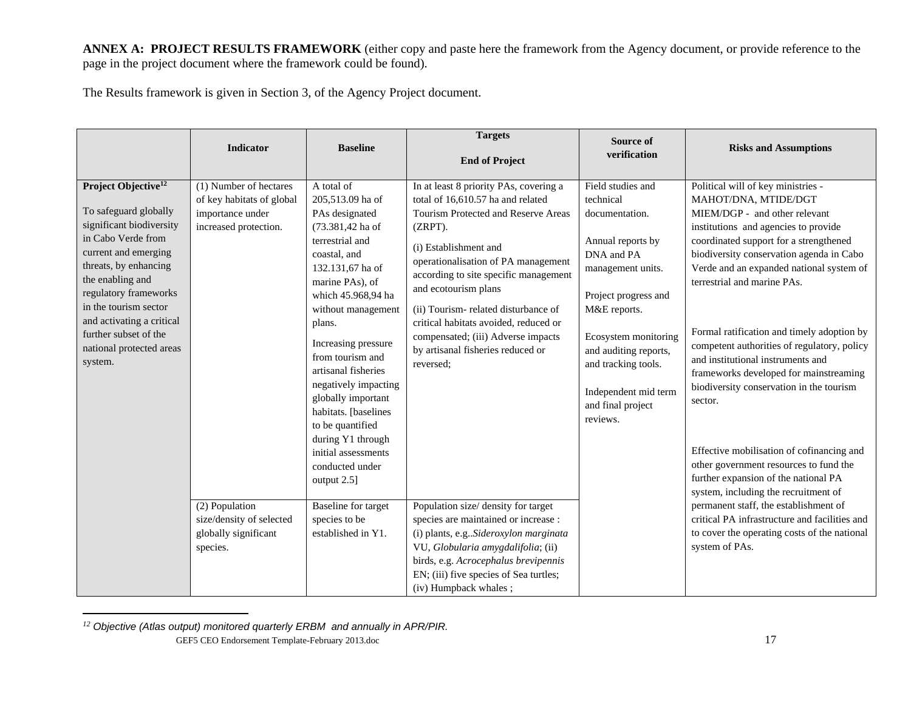**ANNEX A: PROJECT RESULTS FRAMEWORK** (either copy and paste here the framework from the Agency document, or provide reference to the page in the project document where the framework could be found).

The Results framework is given in Section 3, of the Agency Project document.

|                                                                                                                                                                                                                                                                                                                                | Indicator                                                                                        | <b>Baseline</b>                                                                                                                                                                                                                                                                                                                                                                                                                                | <b>Targets</b><br><b>End of Project</b>                                                                                                                                                                                                                                                                                                                                                                                                | Source of<br>verification                                                                                                                                                                                                                                                         | <b>Risks and Assumptions</b>                                                                                                                                                                                                                                                                                                                                                                                                                                                                                                                                                                                                                                                                                   |
|--------------------------------------------------------------------------------------------------------------------------------------------------------------------------------------------------------------------------------------------------------------------------------------------------------------------------------|--------------------------------------------------------------------------------------------------|------------------------------------------------------------------------------------------------------------------------------------------------------------------------------------------------------------------------------------------------------------------------------------------------------------------------------------------------------------------------------------------------------------------------------------------------|----------------------------------------------------------------------------------------------------------------------------------------------------------------------------------------------------------------------------------------------------------------------------------------------------------------------------------------------------------------------------------------------------------------------------------------|-----------------------------------------------------------------------------------------------------------------------------------------------------------------------------------------------------------------------------------------------------------------------------------|----------------------------------------------------------------------------------------------------------------------------------------------------------------------------------------------------------------------------------------------------------------------------------------------------------------------------------------------------------------------------------------------------------------------------------------------------------------------------------------------------------------------------------------------------------------------------------------------------------------------------------------------------------------------------------------------------------------|
| Project Objective <sup>12</sup><br>To safeguard globally<br>significant biodiversity<br>in Cabo Verde from<br>current and emerging<br>threats, by enhancing<br>the enabling and<br>regulatory frameworks<br>in the tourism sector<br>and activating a critical<br>further subset of the<br>national protected areas<br>system. | (1) Number of hectares<br>of key habitats of global<br>importance under<br>increased protection. | A total of<br>205,513.09 ha of<br>PAs designated<br>(73.381,42 ha of<br>terrestrial and<br>coastal, and<br>132.131,67 ha of<br>marine PAs), of<br>which 45.968,94 ha<br>without management<br>plans.<br>Increasing pressure<br>from tourism and<br>artisanal fisheries<br>negatively impacting<br>globally important<br>habitats. [baselines<br>to be quantified<br>during Y1 through<br>initial assessments<br>conducted under<br>output 2.5] | In at least 8 priority PAs, covering a<br>total of 16,610.57 ha and related<br>Tourism Protected and Reserve Areas<br>(ZRPT).<br>(i) Establishment and<br>operationalisation of PA management<br>according to site specific management<br>and ecotourism plans<br>(ii) Tourism-related disturbance of<br>critical habitats avoided, reduced or<br>compensated; (iii) Adverse impacts<br>by artisanal fisheries reduced or<br>reversed; | Field studies and<br>technical<br>documentation.<br>Annual reports by<br>DNA and PA<br>management units.<br>Project progress and<br>M&E reports.<br>Ecosystem monitoring<br>and auditing reports,<br>and tracking tools.<br>Independent mid term<br>and final project<br>reviews. | Political will of key ministries -<br>MAHOT/DNA, MTIDE/DGT<br>MIEM/DGP - and other relevant<br>institutions and agencies to provide<br>coordinated support for a strengthened<br>biodiversity conservation agenda in Cabo<br>Verde and an expanded national system of<br>terrestrial and marine PAs.<br>Formal ratification and timely adoption by<br>competent authorities of regulatory, policy<br>and institutional instruments and<br>frameworks developed for mainstreaming<br>biodiversity conservation in the tourism<br>sector.<br>Effective mobilisation of cofinancing and<br>other government resources to fund the<br>further expansion of the national PA<br>system, including the recruitment of |
|                                                                                                                                                                                                                                                                                                                                | (2) Population<br>size/density of selected<br>globally significant<br>species.                   | <b>Baseline</b> for target<br>species to be<br>established in Y1.                                                                                                                                                                                                                                                                                                                                                                              | Population size/ density for target<br>species are maintained or increase :<br>(i) plants, e.gSideroxylon marginata<br>VU, Globularia amygdalifolia; (ii)<br>birds, e.g. Acrocephalus brevipennis<br>EN; (iii) five species of Sea turtles;<br>(iv) Humpback whales;                                                                                                                                                                   |                                                                                                                                                                                                                                                                                   | permanent staff, the establishment of<br>critical PA infrastructure and facilities and<br>to cover the operating costs of the national<br>system of PAs.                                                                                                                                                                                                                                                                                                                                                                                                                                                                                                                                                       |

GEF5 CEO Endorsement Template-February 2013.doc 17 *12 Objective (Atlas output) monitored quarterly ERBM and annually in APR/PIR.*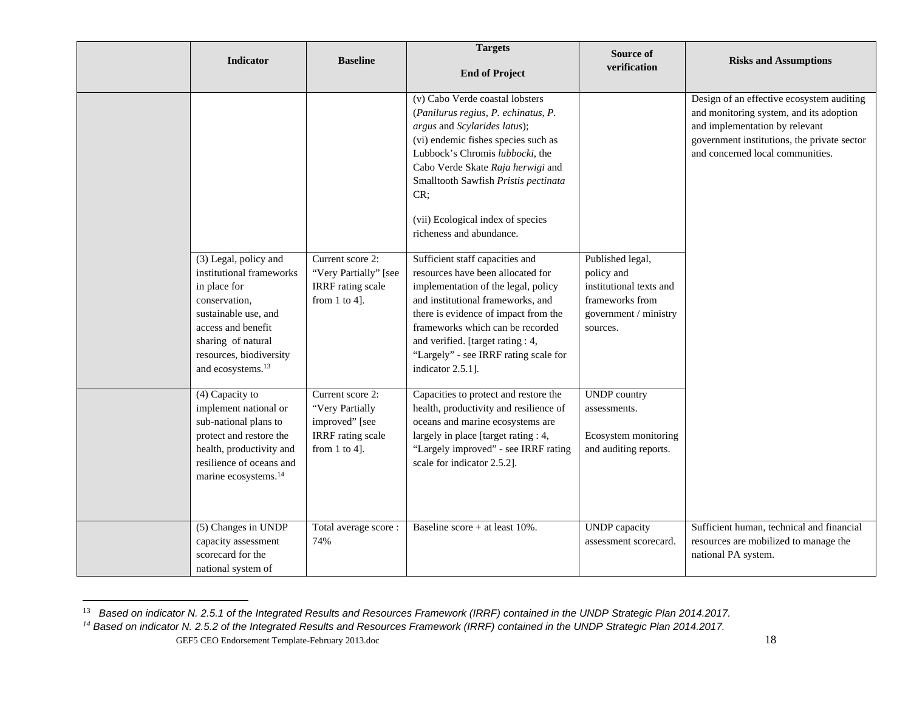| Indicator                                                                                                                                                                                                          | <b>Baseline</b>                                                                                         | <b>Targets</b><br><b>End of Project</b>                                                                                                                                                                                                                                                                                               | Source of<br>verification                                                                                         | <b>Risks and Assumptions</b>                                                                                                                                                                              |
|--------------------------------------------------------------------------------------------------------------------------------------------------------------------------------------------------------------------|---------------------------------------------------------------------------------------------------------|---------------------------------------------------------------------------------------------------------------------------------------------------------------------------------------------------------------------------------------------------------------------------------------------------------------------------------------|-------------------------------------------------------------------------------------------------------------------|-----------------------------------------------------------------------------------------------------------------------------------------------------------------------------------------------------------|
|                                                                                                                                                                                                                    |                                                                                                         | (v) Cabo Verde coastal lobsters<br>(Panilurus regius, P. echinatus, P.<br>argus and Scylarides latus);<br>(vi) endemic fishes species such as<br>Lubbock's Chromis lubbocki, the<br>Cabo Verde Skate Raja herwigi and<br>Smalltooth Sawfish Pristis pectinata<br>CR;<br>(vii) Ecological index of species<br>richeness and abundance. |                                                                                                                   | Design of an effective ecosystem auditing<br>and monitoring system, and its adoption<br>and implementation by relevant<br>government institutions, the private sector<br>and concerned local communities. |
| (3) Legal, policy and<br>institutional frameworks<br>in place for<br>conservation,<br>sustainable use, and<br>access and benefit<br>sharing of natural<br>resources, biodiversity<br>and ecosystems. <sup>13</sup> | Current score 2:<br>"Very Partially" [see<br><b>IRRF</b> rating scale<br>from $1$ to $4$ ].             | Sufficient staff capacities and<br>resources have been allocated for<br>implementation of the legal, policy<br>and institutional frameworks, and<br>there is evidence of impact from the<br>frameworks which can be recorded<br>and verified. [target rating : 4,<br>"Largely" - see IRRF rating scale for<br>indicator 2.5.1].       | Published legal,<br>policy and<br>institutional texts and<br>frameworks from<br>government / ministry<br>sources. |                                                                                                                                                                                                           |
| (4) Capacity to<br>implement national or<br>sub-national plans to<br>protect and restore the<br>health, productivity and<br>resilience of oceans and<br>marine ecosystems. <sup>14</sup>                           | Current score 2:<br>"Very Partially<br>improved" [see<br><b>IRRF</b> rating scale<br>from $1$ to $4$ ]. | Capacities to protect and restore the<br>health, productivity and resilience of<br>oceans and marine ecosystems are<br>largely in place [target rating : 4,<br>"Largely improved" - see IRRF rating<br>scale for indicator 2.5.2].                                                                                                    | <b>UNDP</b> country<br>assessments.<br>Ecosystem monitoring<br>and auditing reports.                              |                                                                                                                                                                                                           |
| (5) Changes in UNDP<br>capacity assessment<br>scorecard for the<br>national system of                                                                                                                              | Total average score:<br>74%                                                                             | Baseline score + at least $10\%$ .                                                                                                                                                                                                                                                                                                    | <b>UNDP</b> capacity<br>assessment scorecard.                                                                     | Sufficient human, technical and financial<br>resources are mobilized to manage the<br>national PA system.                                                                                                 |

GEF5 CEO Endorsement Template-February 2013.doc 18 <sup>13</sup> Based on indicator N. 2.5.1 of the Integrated Results and Resources Framework (IRRF) contained in the UNDP Strategic Plan 2014.2017.<br><sup>14</sup> Based on indicator N. 2.5.2 of the Integrated Results and Resources Framework (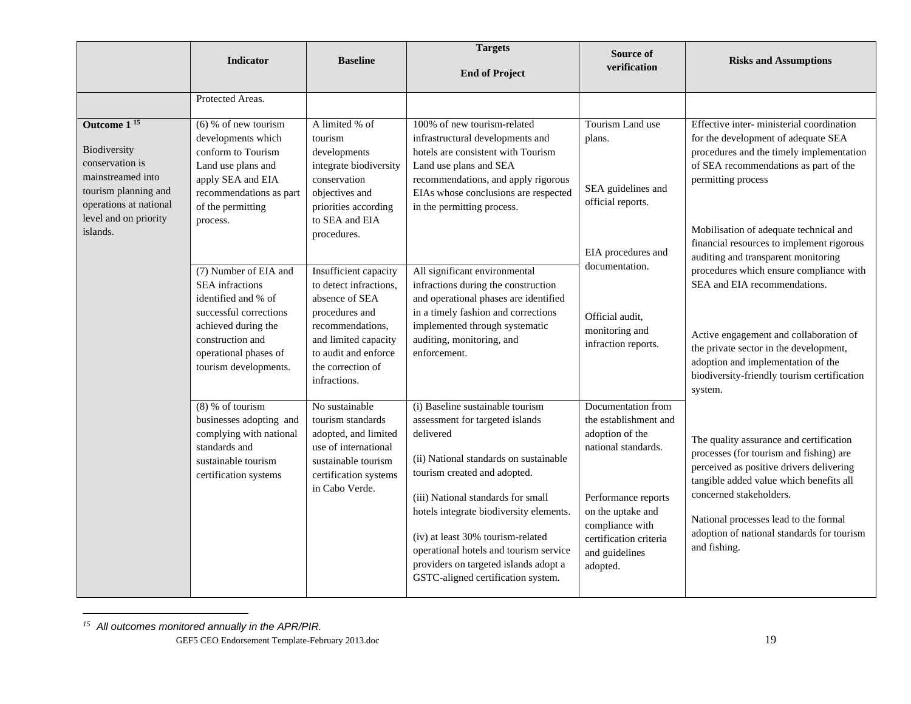|                                                                                                                                                            | <b>Indicator</b>                                                                                                                                              | <b>Baseline</b>                                                                                                                                       | <b>Targets</b><br><b>End of Project</b>                                                                                                                                                                                                                                                                                                                                                                   | Source of<br>verification                                                                                                                                                                                    | <b>Risks and Assumptions</b>                                                                                                                                                                                                                                                                                |
|------------------------------------------------------------------------------------------------------------------------------------------------------------|---------------------------------------------------------------------------------------------------------------------------------------------------------------|-------------------------------------------------------------------------------------------------------------------------------------------------------|-----------------------------------------------------------------------------------------------------------------------------------------------------------------------------------------------------------------------------------------------------------------------------------------------------------------------------------------------------------------------------------------------------------|--------------------------------------------------------------------------------------------------------------------------------------------------------------------------------------------------------------|-------------------------------------------------------------------------------------------------------------------------------------------------------------------------------------------------------------------------------------------------------------------------------------------------------------|
|                                                                                                                                                            | Protected Areas.                                                                                                                                              |                                                                                                                                                       |                                                                                                                                                                                                                                                                                                                                                                                                           |                                                                                                                                                                                                              |                                                                                                                                                                                                                                                                                                             |
| Outcome 1 <sup>15</sup><br>Biodiversity<br>conservation is<br>mainstreamed into<br>tourism planning and<br>operations at national<br>level and on priority | $(6)$ % of new tourism<br>developments which<br>conform to Tourism<br>Land use plans and<br>apply SEA and EIA<br>recommendations as part<br>of the permitting | A limited % of<br>tourism<br>developments<br>integrate biodiversity<br>conservation<br>objectives and<br>priorities according<br>to SEA and EIA       | 100% of new tourism-related<br>infrastructural developments and<br>hotels are consistent with Tourism<br>Land use plans and SEA<br>recommendations, and apply rigorous<br>EIAs whose conclusions are respected<br>in the permitting process.                                                                                                                                                              | Tourism Land use<br>plans.<br>SEA guidelines and<br>official reports.                                                                                                                                        | Effective inter-ministerial coordination<br>for the development of adequate SEA<br>procedures and the timely implementation<br>of SEA recommendations as part of the<br>permitting process                                                                                                                  |
| islands.                                                                                                                                                   | process.<br>(7) Number of EIA and<br><b>SEA</b> infractions                                                                                                   | procedures.<br>Insufficient capacity<br>to detect infractions,                                                                                        | All significant environmental<br>infractions during the construction                                                                                                                                                                                                                                                                                                                                      | EIA procedures and<br>documentation.                                                                                                                                                                         | Mobilisation of adequate technical and<br>financial resources to implement rigorous<br>auditing and transparent monitoring<br>procedures which ensure compliance with<br>SEA and EIA recommendations.                                                                                                       |
| identified and % of<br>achieved during the<br>construction and                                                                                             | successful corrections<br>operational phases of<br>tourism developments.                                                                                      | absence of SEA<br>procedures and<br>recommendations,<br>and limited capacity<br>to audit and enforce<br>the correction of<br>infractions.             | and operational phases are identified<br>in a timely fashion and corrections<br>implemented through systematic<br>auditing, monitoring, and<br>enforcement.                                                                                                                                                                                                                                               | Official audit,<br>monitoring and<br>infraction reports.                                                                                                                                                     | Active engagement and collaboration of<br>the private sector in the development,<br>adoption and implementation of the<br>biodiversity-friendly tourism certification<br>system.                                                                                                                            |
|                                                                                                                                                            | $(8)$ % of tourism<br>businesses adopting and<br>complying with national<br>standards and<br>sustainable tourism<br>certification systems                     | No sustainable<br>tourism standards<br>adopted, and limited<br>use of international<br>sustainable tourism<br>certification systems<br>in Cabo Verde. | (i) Baseline sustainable tourism<br>assessment for targeted islands<br>delivered<br>(ii) National standards on sustainable<br>tourism created and adopted.<br>(iii) National standards for small<br>hotels integrate biodiversity elements.<br>(iv) at least 30% tourism-related<br>operational hotels and tourism service<br>providers on targeted islands adopt a<br>GSTC-aligned certification system. | Documentation from<br>the establishment and<br>adoption of the<br>national standards.<br>Performance reports<br>on the uptake and<br>compliance with<br>certification criteria<br>and guidelines<br>adopted. | The quality assurance and certification<br>processes (for tourism and fishing) are<br>perceived as positive drivers delivering<br>tangible added value which benefits all<br>concerned stakeholders.<br>National processes lead to the formal<br>adoption of national standards for tourism<br>and fishing. |

*<sup>15</sup> All outcomes monitored annually in the APR/PIR.*

GEF5 CEO Endorsement Template-February 2013.doc 19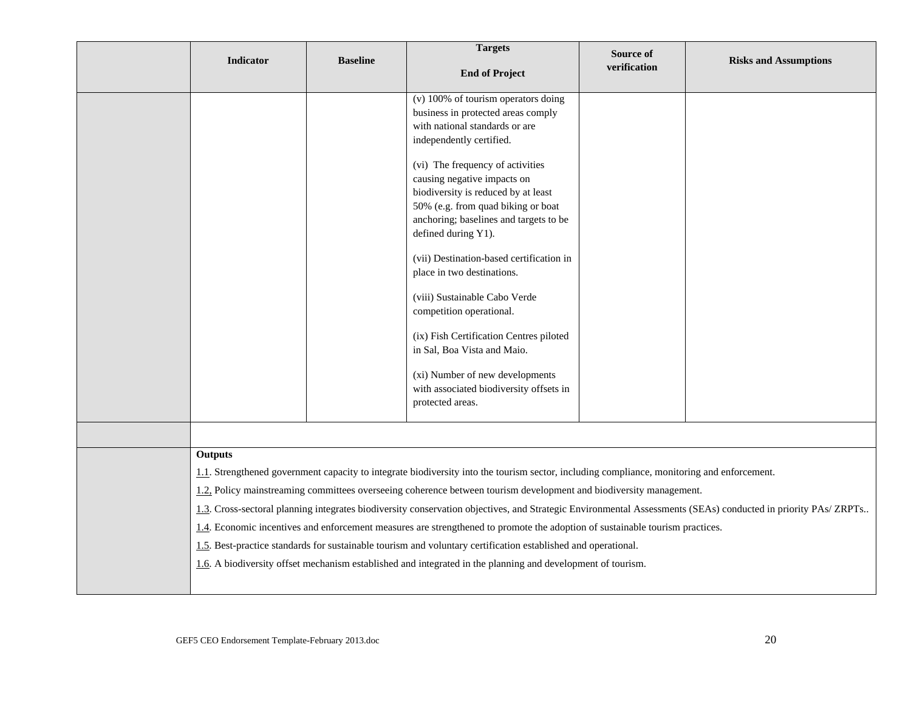| <b>Indicator</b> | <b>Baseline</b> | <b>Targets</b><br><b>End of Project</b>                                                                                                                                                                                                                                                                                                                                                                                                                                                                                                                                                                                                                                     | Source of<br>verification | <b>Risks and Assumptions</b>                                                                                                                                 |
|------------------|-----------------|-----------------------------------------------------------------------------------------------------------------------------------------------------------------------------------------------------------------------------------------------------------------------------------------------------------------------------------------------------------------------------------------------------------------------------------------------------------------------------------------------------------------------------------------------------------------------------------------------------------------------------------------------------------------------------|---------------------------|--------------------------------------------------------------------------------------------------------------------------------------------------------------|
|                  |                 | (v) 100% of tourism operators doing<br>business in protected areas comply<br>with national standards or are<br>independently certified.<br>(vi) The frequency of activities<br>causing negative impacts on<br>biodiversity is reduced by at least<br>50% (e.g. from quad biking or boat<br>anchoring; baselines and targets to be<br>defined during Y1).<br>(vii) Destination-based certification in<br>place in two destinations.<br>(viii) Sustainable Cabo Verde<br>competition operational.<br>(ix) Fish Certification Centres piloted<br>in Sal, Boa Vista and Maio.<br>(xi) Number of new developments<br>with associated biodiversity offsets in<br>protected areas. |                           |                                                                                                                                                              |
|                  |                 |                                                                                                                                                                                                                                                                                                                                                                                                                                                                                                                                                                                                                                                                             |                           |                                                                                                                                                              |
| Outputs          |                 | 1.1. Strengthened government capacity to integrate biodiversity into the tourism sector, including compliance, monitoring and enforcement.<br>1.2, Policy mainstreaming committees overseeing coherence between tourism development and biodiversity management.<br>1.4. Economic incentives and enforcement measures are strengthened to promote the adoption of sustainable tourism practices.<br>1.5. Best-practice standards for sustainable tourism and voluntary certification established and operational.<br>1.6. A biodiversity offset mechanism established and integrated in the planning and development of tourism.                                            |                           | 1.3. Cross-sectoral planning integrates biodiversity conservation objectives, and Strategic Environmental Assessments (SEAs) conducted in priority PAs/ZRPTs |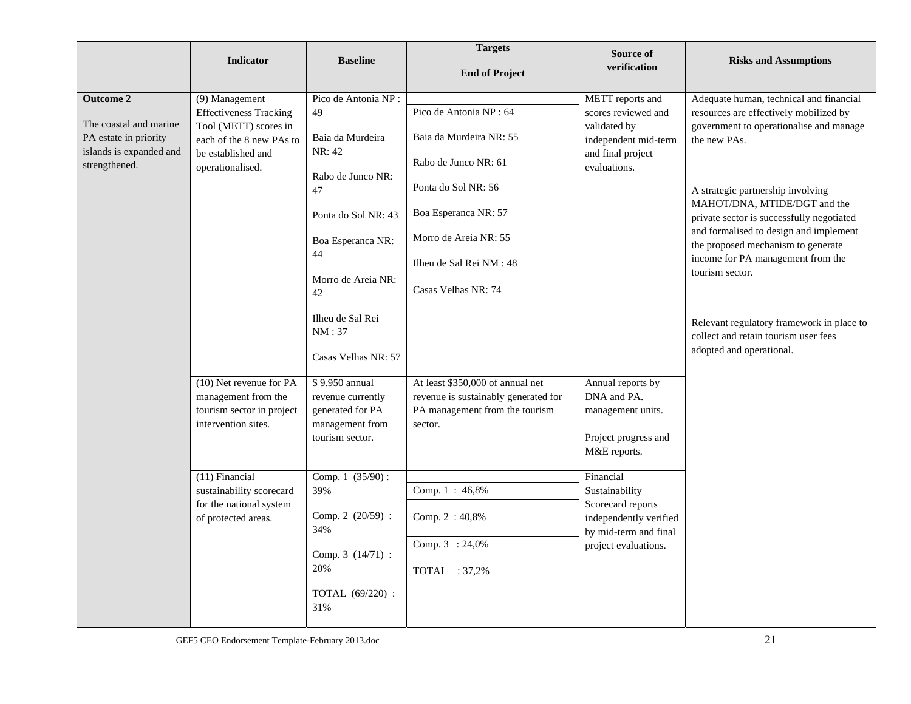|                                                                            | <b>Indicator</b>                                                                                      | <b>Baseline</b>                     | <b>Targets</b><br><b>End of Project</b>                              | Source of<br>verification                               | <b>Risks and Assumptions</b>                                                                                        |
|----------------------------------------------------------------------------|-------------------------------------------------------------------------------------------------------|-------------------------------------|----------------------------------------------------------------------|---------------------------------------------------------|---------------------------------------------------------------------------------------------------------------------|
| <b>Outcome 2</b>                                                           | (9) Management                                                                                        | Pico de Antonia NP :                |                                                                      | METT reports and                                        | Adequate human, technical and financial                                                                             |
|                                                                            | <b>Effectiveness Tracking</b>                                                                         | 49                                  | Pico de Antonia NP: 64                                               | scores reviewed and                                     | resources are effectively mobilized by                                                                              |
| The coastal and marine<br>PA estate in priority<br>islands is expanded and | Tool (METT) scores in<br>Baia da Murdeira<br>each of the 8 new PAs to<br>NR: 42<br>be established and | Baia da Murdeira NR: 55             | validated by<br>independent mid-term<br>and final project            | government to operationalise and manage<br>the new PAs. |                                                                                                                     |
| strengthened.                                                              | operationalised.                                                                                      |                                     | Rabo de Junco NR: 61                                                 | evaluations.                                            |                                                                                                                     |
|                                                                            |                                                                                                       | Rabo de Junco NR:<br>47             | Ponta do Sol NR: 56                                                  |                                                         | A strategic partnership involving                                                                                   |
|                                                                            |                                                                                                       | Ponta do Sol NR: 43                 | Boa Esperanca NR: 57                                                 |                                                         | MAHOT/DNA, MTIDE/DGT and the<br>private sector is successfully negotiated<br>and formalised to design and implement |
|                                                                            |                                                                                                       | Boa Esperanca NR:<br>44             | Morro de Areia NR: 55                                                |                                                         | the proposed mechanism to generate                                                                                  |
|                                                                            |                                                                                                       |                                     | Ilheu de Sal Rei NM : 48                                             |                                                         | income for PA management from the<br>tourism sector.                                                                |
|                                                                            |                                                                                                       | Morro de Areia NR:<br>42            | Casas Velhas NR: 74                                                  |                                                         |                                                                                                                     |
|                                                                            |                                                                                                       | Ilheu de Sal Rei<br>NM:37           |                                                                      |                                                         | Relevant regulatory framework in place to<br>collect and retain tourism user fees                                   |
|                                                                            |                                                                                                       | Casas Velhas NR: 57                 |                                                                      |                                                         | adopted and operational.                                                                                            |
|                                                                            | (10) Net revenue for PA                                                                               | \$9.950 annual                      | At least \$350,000 of annual net                                     | Annual reports by                                       |                                                                                                                     |
|                                                                            | management from the                                                                                   | revenue currently                   | revenue is sustainably generated for                                 | DNA and PA.                                             |                                                                                                                     |
|                                                                            | tourism sector in project<br>intervention sites.                                                      | generated for PA<br>management from | PA management from the tourism                                       | management units.                                       |                                                                                                                     |
|                                                                            |                                                                                                       | tourism sector.                     | sector.                                                              | Project progress and                                    |                                                                                                                     |
|                                                                            |                                                                                                       |                                     |                                                                      | M&E reports.                                            |                                                                                                                     |
|                                                                            | (11) Financial                                                                                        | Comp. 1 (35/90):                    |                                                                      | Financial                                               |                                                                                                                     |
|                                                                            | sustainability scorecard                                                                              | 39%                                 | Comp. 1: 46,8%                                                       | Sustainability                                          |                                                                                                                     |
| for the national system<br>of protected areas.                             | Comp. 2 (20/59) :<br>34%                                                                              | Comp. 2:40,8%                       | Scorecard reports<br>independently verified<br>by mid-term and final |                                                         |                                                                                                                     |
|                                                                            |                                                                                                       |                                     | Comp. 3 : 24,0%                                                      | project evaluations.                                    |                                                                                                                     |
|                                                                            |                                                                                                       | Comp. 3 (14/71) :<br>20%            | TOTAL : 37,2%                                                        |                                                         |                                                                                                                     |
|                                                                            |                                                                                                       | TOTAL (69/220) :<br>31%             |                                                                      |                                                         |                                                                                                                     |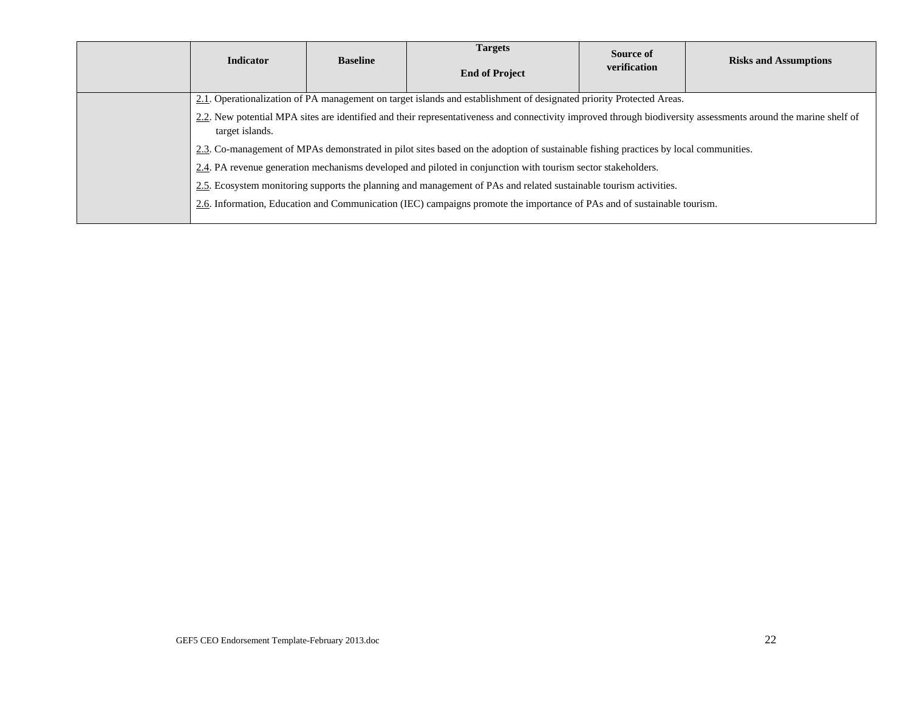| <b>Indicator</b>                                                                                                                                                                  | <b>Baseline</b> | <b>Targets</b><br><b>End of Project</b> | Source of<br>verification | <b>Risks and Assumptions</b> |  |  |
|-----------------------------------------------------------------------------------------------------------------------------------------------------------------------------------|-----------------|-----------------------------------------|---------------------------|------------------------------|--|--|
| 2.1. Operationalization of PA management on target islands and establishment of designated priority Protected Areas.                                                              |                 |                                         |                           |                              |  |  |
| 2.2. New potential MPA sites are identified and their representativeness and connectivity improved through biodiversity assessments around the marine shelf of<br>target islands. |                 |                                         |                           |                              |  |  |
| 2.3. Co-management of MPAs demonstrated in pilot sites based on the adoption of sustainable fishing practices by local communities.                                               |                 |                                         |                           |                              |  |  |
| 2.4. PA revenue generation mechanisms developed and piloted in conjunction with tourism sector stakeholders.                                                                      |                 |                                         |                           |                              |  |  |
| 2.5. Ecosystem monitoring supports the planning and management of PAs and related sustainable tourism activities.                                                                 |                 |                                         |                           |                              |  |  |
| 2.6. Information, Education and Communication (IEC) campaigns promote the importance of PAs and of sustainable tourism.                                                           |                 |                                         |                           |                              |  |  |
|                                                                                                                                                                                   |                 |                                         |                           |                              |  |  |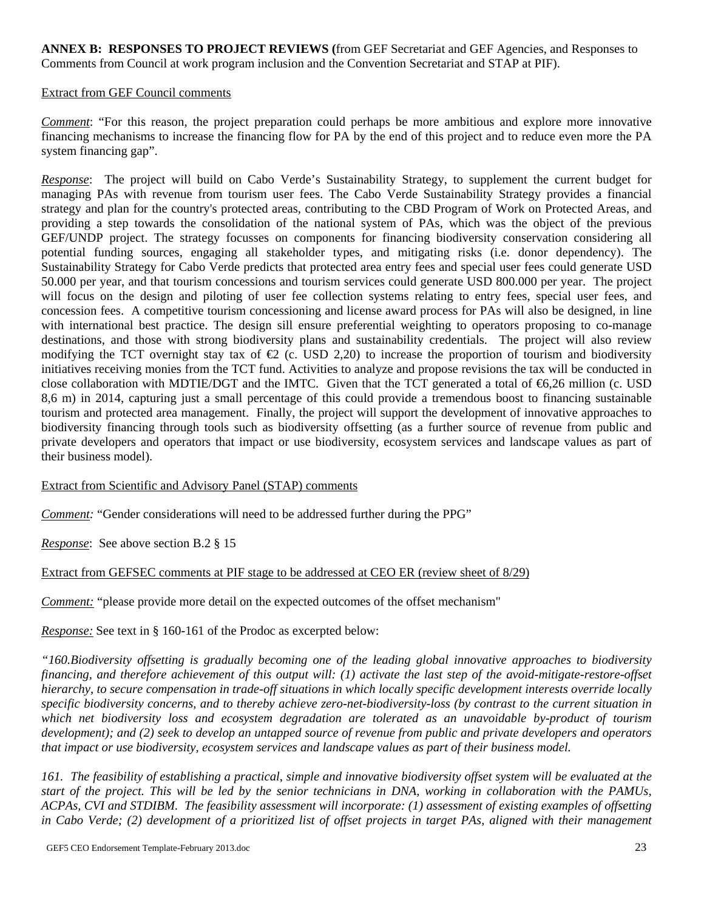**ANNEX B: RESPONSES TO PROJECT REVIEWS (**from GEF Secretariat and GEF Agencies, and Responses to Comments from Council at work program inclusion and the Convention Secretariat and STAP at PIF).

#### Extract from GEF Council comments

*Comment*: "For this reason, the project preparation could perhaps be more ambitious and explore more innovative financing mechanisms to increase the financing flow for PA by the end of this project and to reduce even more the PA system financing gap".

*Response*: The project will build on Cabo Verde's Sustainability Strategy, to supplement the current budget for managing PAs with revenue from tourism user fees. The Cabo Verde Sustainability Strategy provides a financial strategy and plan for the country's protected areas, contributing to the CBD Program of Work on Protected Areas, and providing a step towards the consolidation of the national system of PAs, which was the object of the previous GEF/UNDP project. The strategy focusses on components for financing biodiversity conservation considering all potential funding sources, engaging all stakeholder types, and mitigating risks (i.e. donor dependency). The Sustainability Strategy for Cabo Verde predicts that protected area entry fees and special user fees could generate USD 50.000 per year, and that tourism concessions and tourism services could generate USD 800.000 per year. The project will focus on the design and piloting of user fee collection systems relating to entry fees, special user fees, and concession fees. A competitive tourism concessioning and license award process for PAs will also be designed, in line with international best practice. The design sill ensure preferential weighting to operators proposing to co-manage destinations, and those with strong biodiversity plans and sustainability credentials. The project will also review modifying the TCT overnight stay tax of  $\bigoplus$  (c. USD 2,20) to increase the proportion of tourism and biodiversity initiatives receiving monies from the TCT fund. Activities to analyze and propose revisions the tax will be conducted in close collaboration with MDTIE/DGT and the IMTC. Given that the TCT generated a total of €6,26 million (c. USD 8,6 m) in 2014, capturing just a small percentage of this could provide a tremendous boost to financing sustainable tourism and protected area management. Finally, the project will support the development of innovative approaches to biodiversity financing through tools such as biodiversity offsetting (as a further source of revenue from public and private developers and operators that impact or use biodiversity, ecosystem services and landscape values as part of their business model).

#### Extract from Scientific and Advisory Panel (STAP) comments

*Comment:* "Gender considerations will need to be addressed further during the PPG"

*Response*: See above section B.2 § 15

#### Extract from GEFSEC comments at PIF stage to be addressed at CEO ER (review sheet of 8/29)

*Comment:* "please provide more detail on the expected outcomes of the offset mechanism"

*Response:* See text in § 160-161 of the Prodoc as excerpted below:

*"160. Biodiversity offsetting is gradually becoming one of the leading global innovative approaches to biodiversity financing, and therefore achievement of this output will: (1) activate the last step of the avoid-mitigate-restore-offset hierarchy, to secure compensation in trade-off situations in which locally specific development interests override locally specific biodiversity concerns, and to thereby achieve zero-net-biodiversity-loss (by contrast to the current situation in which net biodiversity loss and ecosystem degradation are tolerated as an unavoidable by-product of tourism development); and (2) seek to develop an untapped source of revenue from public and private developers and operators that impact or use biodiversity, ecosystem services and landscape values as part of their business model.* 

*161. The feasibility of establishing a practical, simple and innovative biodiversity offset system will be evaluated at the start of the project. This will be led by the senior technicians in DNA, working in collaboration with the PAMUs, ACPAs, CVI and STDIBM. The feasibility assessment will incorporate: (1) assessment of existing examples of offsetting in Cabo Verde; (2) development of a prioritized list of offset projects in target PAs, aligned with their management*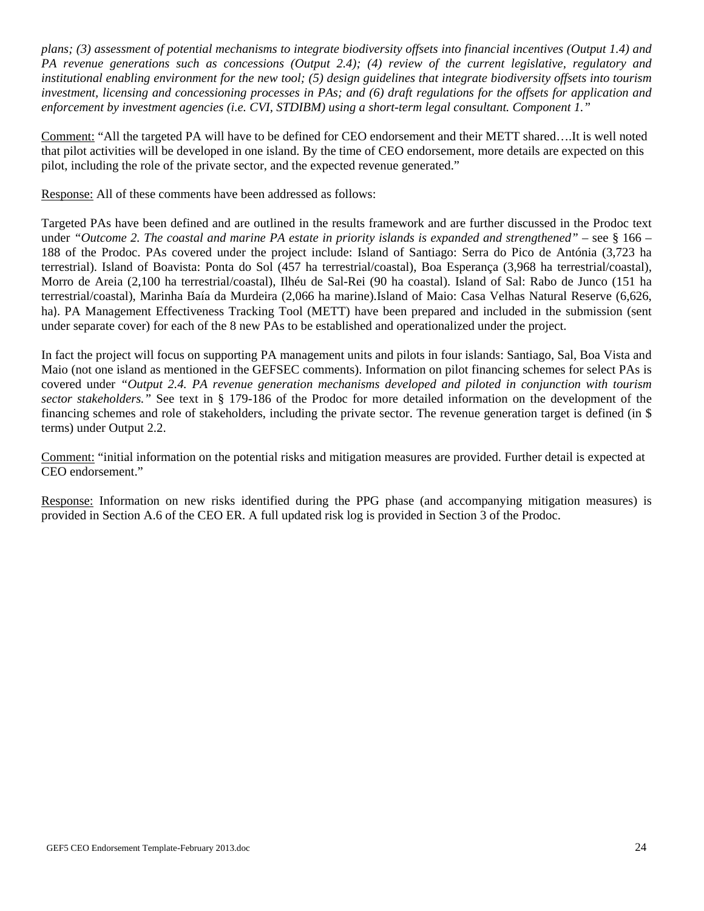*plans; (3) assessment of potential mechanisms to integrate biodiversity offsets into financial incentives (Output 1.4) and PA revenue generations such as concessions (Output 2.4); (4) review of the current legislative, regulatory and institutional enabling environment for the new tool; (5) design guidelines that integrate biodiversity offsets into tourism investment, licensing and concessioning processes in PAs; and (6) draft regulations for the offsets for application and enforcement by investment agencies (i.e. CVI, STDIBM) using a short-term legal consultant. Component 1."* 

Comment: "All the targeted PA will have to be defined for CEO endorsement and their METT shared….It is well noted that pilot activities will be developed in one island. By the time of CEO endorsement, more details are expected on this pilot, including the role of the private sector, and the expected revenue generated."

Response: All of these comments have been addressed as follows:

Targeted PAs have been defined and are outlined in the results framework and are further discussed in the Prodoc text under *"Outcome 2. The coastal and marine PA estate in priority islands is expanded and strengthened" – see § 166 –* 188 of the Prodoc. PAs covered under the project include: Island of Santiago: Serra do Pico de Antónia (3,723 ha terrestrial). Island of Boavista: Ponta do Sol (457 ha terrestrial/coastal), Boa Esperança (3,968 ha terrestrial/coastal), Morro de Areia (2,100 ha terrestrial/coastal), Ilhéu de Sal-Rei (90 ha coastal). Island of Sal: Rabo de Junco (151 ha terrestrial/coastal), Marinha Baía da Murdeira (2,066 ha marine).Island of Maio: Casa Velhas Natural Reserve (6,626, ha). PA Management Effectiveness Tracking Tool (METT) have been prepared and included in the submission (sent under separate cover) for each of the 8 new PAs to be established and operationalized under the project.

In fact the project will focus on supporting PA management units and pilots in four islands: Santiago, Sal, Boa Vista and Maio (not one island as mentioned in the GEFSEC comments). Information on pilot financing schemes for select PAs is covered under *"Output 2.4. PA revenue generation mechanisms developed and piloted in conjunction with tourism sector stakeholders."* See text in § 179-186 of the Prodoc for more detailed information on the development of the financing schemes and role of stakeholders, including the private sector. The revenue generation target is defined (in \$ terms) under Output 2.2.

Comment: "initial information on the potential risks and mitigation measures are provided. Further detail is expected at CEO endorsement."

Response: Information on new risks identified during the PPG phase (and accompanying mitigation measures) is provided in Section A.6 of the CEO ER. A full updated risk log is provided in Section 3 of the Prodoc.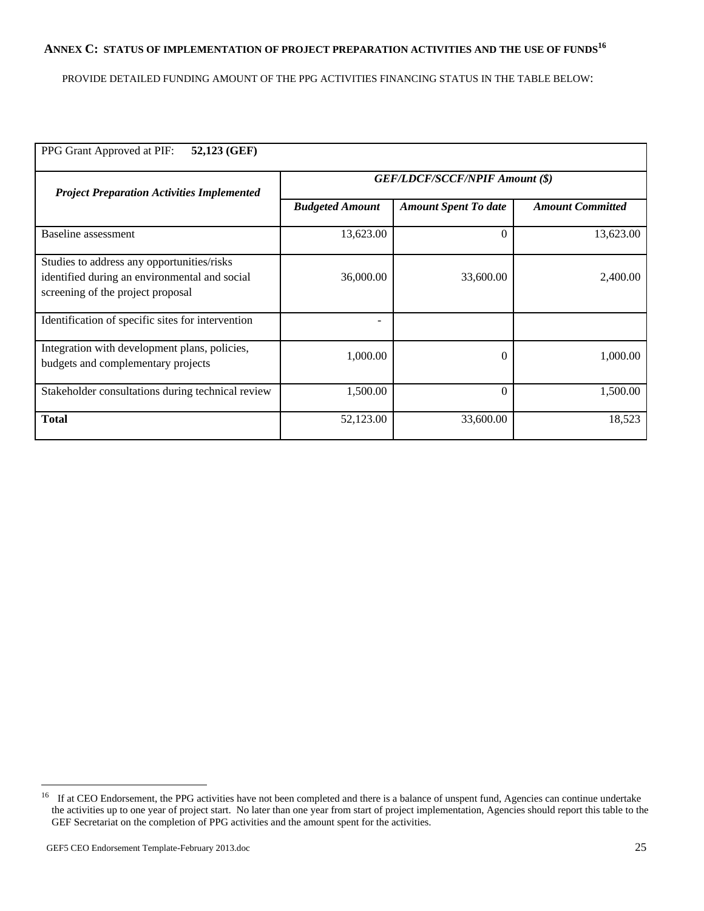# ANNEX C: STATUS OF IMPLEMENTATION OF PROJECT PREPARATION ACTIVITIES AND THE USE OF FUNDS<sup>16</sup>

PROVIDE DETAILED FUNDING AMOUNT OF THE PPG ACTIVITIES FINANCING STATUS IN THE TABLE BELOW:

| PPG Grant Approved at PIF:<br>52,123 (GEF)                                                                                       |                                       |                             |                         |  |  |  |
|----------------------------------------------------------------------------------------------------------------------------------|---------------------------------------|-----------------------------|-------------------------|--|--|--|
| <b>Project Preparation Activities Implemented</b>                                                                                | <b>GEF/LDCF/SCCF/NPIF Amount (\$)</b> |                             |                         |  |  |  |
|                                                                                                                                  | <b>Budgeted Amount</b>                | <b>Amount Spent To date</b> | <b>Amount Committed</b> |  |  |  |
| Baseline assessment                                                                                                              | 13,623.00                             | $\Omega$                    | 13,623.00               |  |  |  |
| Studies to address any opportunities/risks<br>identified during an environmental and social<br>screening of the project proposal | 36,000.00                             | 33,600.00                   | 2,400.00                |  |  |  |
| Identification of specific sites for intervention                                                                                |                                       |                             |                         |  |  |  |
| Integration with development plans, policies,<br>budgets and complementary projects                                              | 1,000.00                              | $\Omega$                    | 1,000.00                |  |  |  |
| Stakeholder consultations during technical review                                                                                | 1,500.00                              | $\theta$                    | 1,500.00                |  |  |  |
| <b>Total</b>                                                                                                                     | 52,123.00                             | 33,600.00                   | 18,523                  |  |  |  |

<sup>&</sup>lt;sup>16</sup> If at CEO Endorsement, the PPG activities have not been completed and there is a balance of unspent fund, Agencies can continue undertake the activities up to one year of project start. No later than one year from start of project implementation, Agencies should report this table to the GEF Secretariat on the completion of PPG activities and the amount spent for the activities.